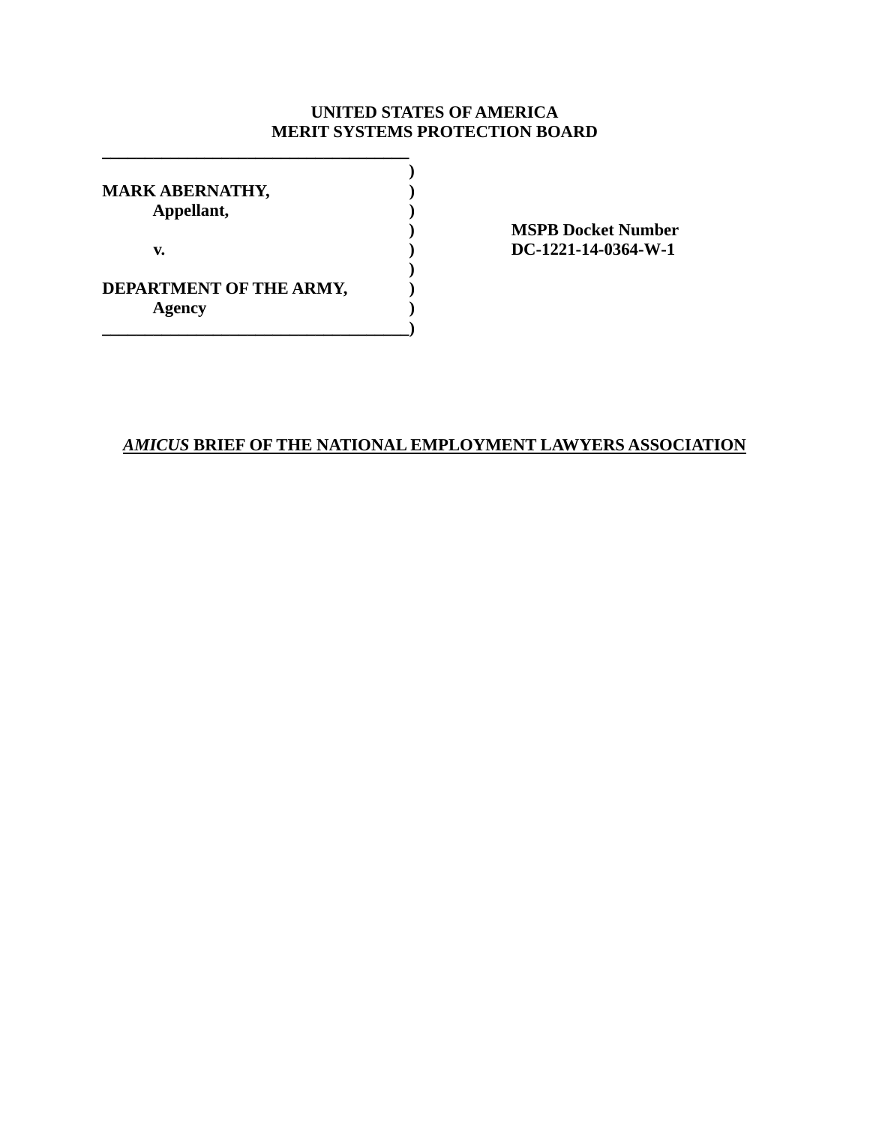# **UNITED STATES OF AMERICA MERIT SYSTEMS PROTECTION BOARD**

| <b>MARK ABERNATHY,</b><br>Appellant, |  |  |  |  |  |
|--------------------------------------|--|--|--|--|--|
| v.                                   |  |  |  |  |  |
| DEPARTMENT OF THE ARMY,<br>Agency    |  |  |  |  |  |

**\_\_\_\_\_\_\_\_\_\_\_\_\_\_\_\_\_\_\_\_\_\_\_\_\_\_\_\_\_\_\_\_\_\_\_\_** 

 **) MSPB Docket Number v. ) DC-1221-14-0364-W-1** 

# *AMICUS* **BRIEF OF THE NATIONAL EMPLOYMENT LAWYERS ASSOCIATION**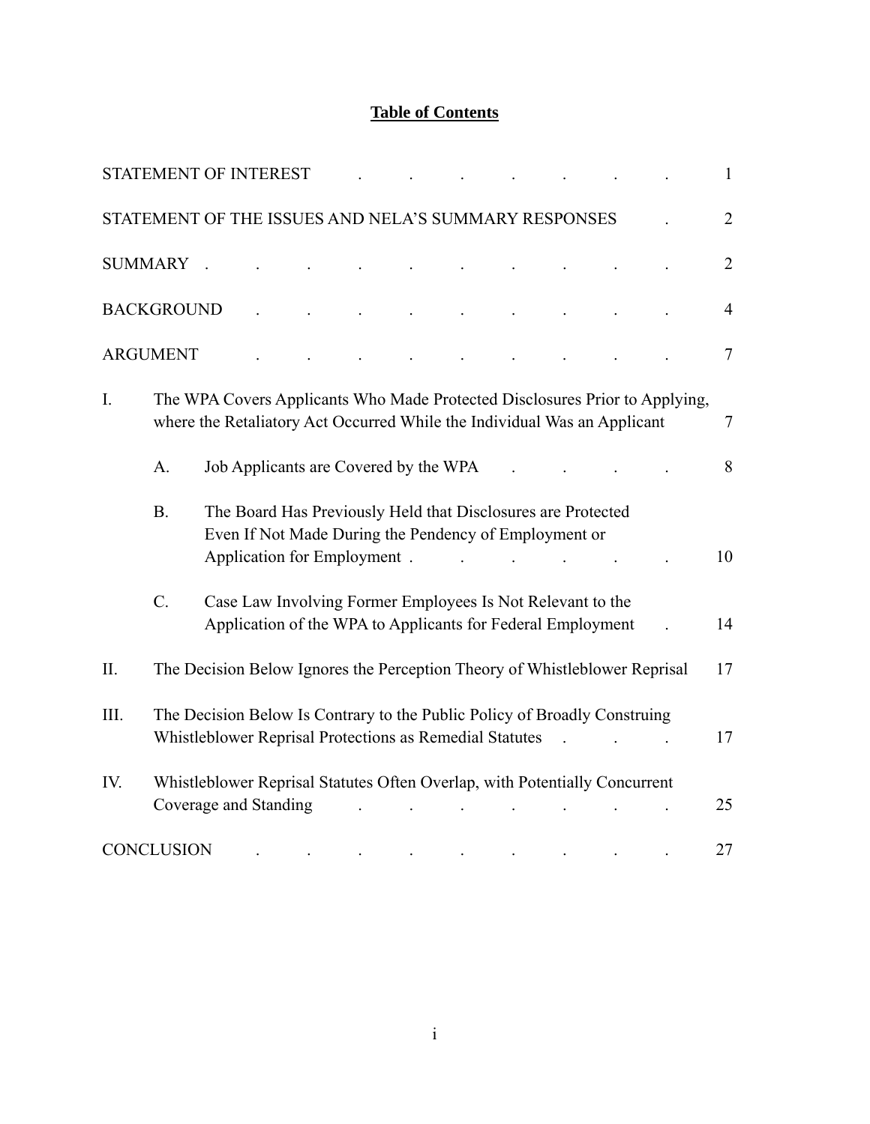# **Table of Contents**

|                | <b>STATEMENT OF INTEREST</b> |  |                             |                                       |                                                                                                                                      |                |                                                                             | 1              |
|----------------|------------------------------|--|-----------------------------|---------------------------------------|--------------------------------------------------------------------------------------------------------------------------------------|----------------|-----------------------------------------------------------------------------|----------------|
|                |                              |  |                             |                                       | STATEMENT OF THE ISSUES AND NELA'S SUMMARY RESPONSES                                                                                 |                |                                                                             | $\overline{2}$ |
| <b>SUMMARY</b> |                              |  |                             |                                       |                                                                                                                                      |                |                                                                             | $\overline{2}$ |
|                | <b>BACKGROUND</b>            |  |                             |                                       |                                                                                                                                      |                |                                                                             | $\overline{4}$ |
|                | <b>ARGUMENT</b>              |  |                             |                                       |                                                                                                                                      |                |                                                                             | $\tau$         |
| $I_{\cdot}$    |                              |  |                             |                                       | where the Retaliatory Act Occurred While the Individual Was an Applicant                                                             |                | The WPA Covers Applicants Who Made Protected Disclosures Prior to Applying, | $\tau$         |
|                | A.                           |  |                             | Job Applicants are Covered by the WPA |                                                                                                                                      |                |                                                                             | 8              |
|                | B <sub>1</sub>               |  | Application for Employment. |                                       | The Board Has Previously Held that Disclosures are Protected<br>Even If Not Made During the Pendency of Employment or                |                |                                                                             | 10             |
|                | $\mathcal{C}$ .              |  |                             |                                       | Case Law Involving Former Employees Is Not Relevant to the<br>Application of the WPA to Applicants for Federal Employment            |                |                                                                             | 14             |
| II.            |                              |  |                             |                                       | The Decision Below Ignores the Perception Theory of Whistleblower Reprisal                                                           |                |                                                                             | 17             |
| III.           |                              |  |                             |                                       | The Decision Below Is Contrary to the Public Policy of Broadly Construing<br>Whistleblower Reprisal Protections as Remedial Statutes | $\overline{a}$ |                                                                             | 17             |
| IV.            | Coverage and Standing        |  |                             |                                       | Whistleblower Reprisal Statutes Often Overlap, with Potentially Concurrent                                                           |                |                                                                             | 25             |
|                | <b>CONCLUSION</b>            |  |                             |                                       |                                                                                                                                      |                |                                                                             | 27             |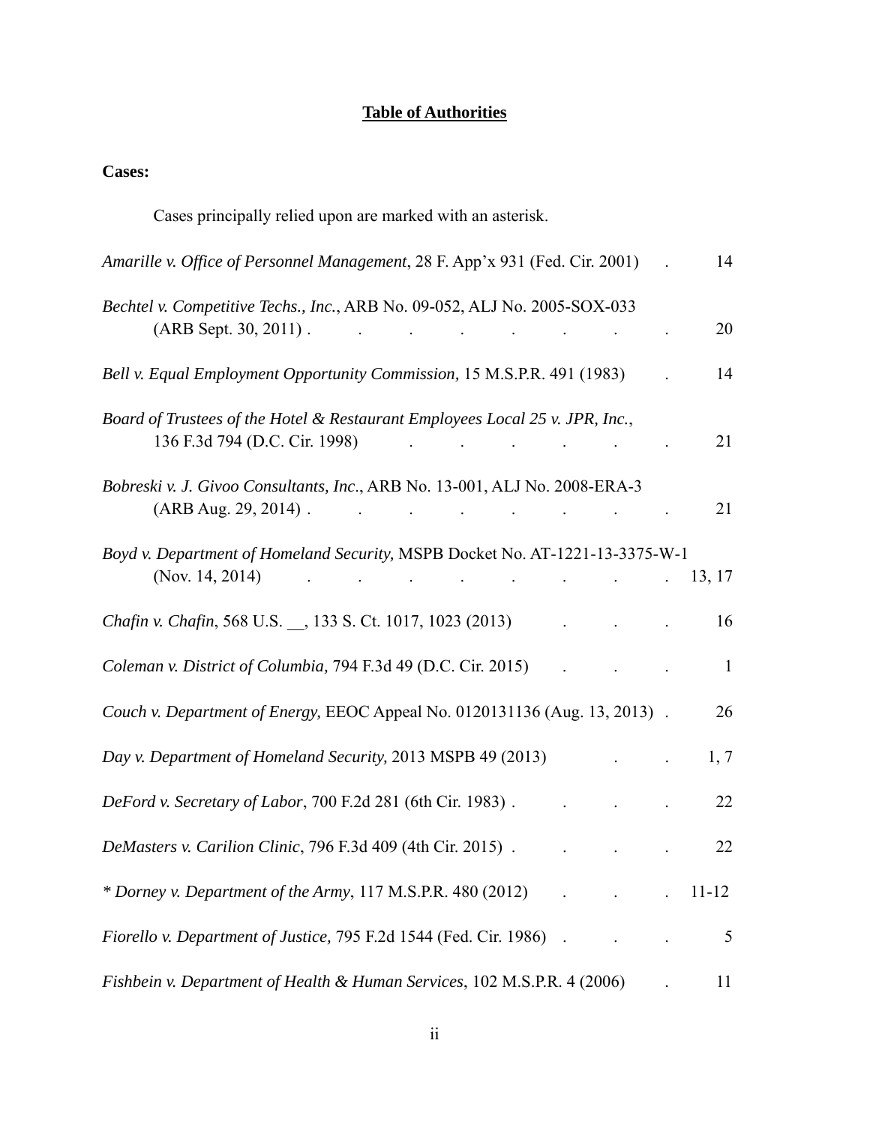# **Table of Authorities**

# **Cases:**

| Cases principally relied upon are marked with an asterisk.                                                                                                                                                                                 |              |
|--------------------------------------------------------------------------------------------------------------------------------------------------------------------------------------------------------------------------------------------|--------------|
| Amarille v. Office of Personnel Management, 28 F. App'x 931 (Fed. Cir. 2001)                                                                                                                                                               | 14           |
| Bechtel v. Competitive Techs., Inc., ARB No. 09-052, ALJ No. 2005-SOX-033<br>$(ARB Sept. 30, 2011)$ .<br>and the contract of the contract of the                                                                                           | 20           |
| Bell v. Equal Employment Opportunity Commission, 15 M.S.P.R. 491 (1983)                                                                                                                                                                    | 14           |
| Board of Trustees of the Hotel & Restaurant Employees Local 25 v. JPR, Inc.,<br>136 F.3d 794 (D.C. Cir. 1998)<br>$\mathbf{r} = \mathbf{r} \times \mathbf{r}$ , where $\mathbf{r} = \mathbf{r} \times \mathbf{r}$                           | 21           |
| Bobreski v. J. Givoo Consultants, Inc., ARB No. 13-001, ALJ No. 2008-ERA-3<br>$(ARB Aug. 29, 2014)$ .                                                                                                                                      | 21           |
| Boyd v. Department of Homeland Security, MSPB Docket No. AT-1221-13-3375-W-1<br>(Nov. 14, 2014)<br>$\mathcal{L}^{\mathcal{A}}$ and $\mathcal{L}^{\mathcal{A}}$ are the set of the set of the set of the set of $\mathcal{L}^{\mathcal{A}}$ | 13, 17       |
| Chafin v. Chafin, 568 U.S., 133 S. Ct. 1017, 1023 (2013)                                                                                                                                                                                   | 16           |
| Coleman v. District of Columbia, 794 F.3d 49 (D.C. Cir. 2015)                                                                                                                                                                              | $\mathbf{1}$ |
| Couch v. Department of Energy, EEOC Appeal No. 0120131136 (Aug. 13, 2013).                                                                                                                                                                 | 26           |
| Day v. Department of Homeland Security, 2013 MSPB 49 (2013)                                                                                                                                                                                | 1, 7         |
| DeFord v. Secretary of Labor, 700 F.2d 281 (6th Cir. 1983).                                                                                                                                                                                | 22           |
| DeMasters v. Carilion Clinic, 796 F.3d 409 (4th Cir. 2015).                                                                                                                                                                                | 22           |
| * Dorney v. Department of the Army, $117$ M.S.P.R. 480 (2012)                                                                                                                                                                              | $11 - 12$    |
| Fiorello v. Department of Justice, 795 F.2d 1544 (Fed. Cir. 1986)                                                                                                                                                                          | 5            |
| Fishbein v. Department of Health & Human Services, 102 M.S.P.R. 4 (2006)                                                                                                                                                                   | 11           |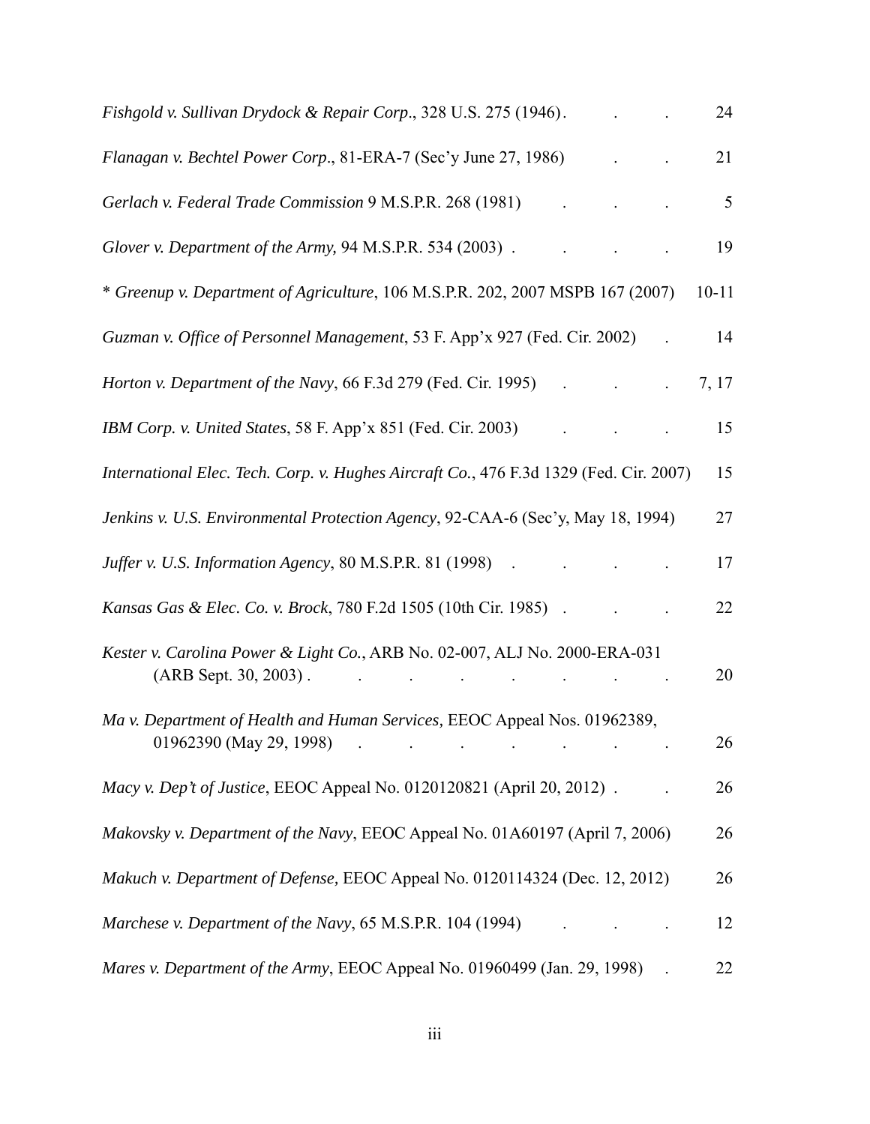| Fishgold v. Sullivan Drydock & Repair Corp., 328 U.S. 275 (1946).                                                        | 24        |
|--------------------------------------------------------------------------------------------------------------------------|-----------|
| Flanagan v. Bechtel Power Corp., 81-ERA-7 (Sec'y June 27, 1986)                                                          | 21        |
| Gerlach v. Federal Trade Commission 9 M.S.P.R. 268 (1981)                                                                | 5         |
| Glover v. Department of the Army, 94 M.S.P.R. 534 (2003).                                                                | 19        |
| * Greenup v. Department of Agriculture, 106 M.S.P.R. 202, 2007 MSPB 167 (2007)                                           | $10 - 11$ |
| Guzman v. Office of Personnel Management, 53 F. App'x 927 (Fed. Cir. 2002)                                               | 14        |
|                                                                                                                          | 7, 17     |
| IBM Corp. v. United States, 58 F. App'x 851 (Fed. Cir. 2003)                                                             | 15        |
| International Elec. Tech. Corp. v. Hughes Aircraft Co., 476 F.3d 1329 (Fed. Cir. 2007)                                   | 15        |
| Jenkins v. U.S. Environmental Protection Agency, 92-CAA-6 (Sec'y, May 18, 1994)                                          | 27        |
|                                                                                                                          | 17        |
| <i>Kansas Gas &amp; Elec. Co. v. Brock, 780 F.2d 1505 (10th Cir. 1985)</i>                                               | 22        |
| Kester v. Carolina Power & Light Co., ARB No. 02-007, ALJ No. 2000-ERA-031<br>$(ARB Sept. 30, 2003)$ .                   | 20        |
| Ma v. Department of Health and Human Services, EEOC Appeal Nos. 01962389,<br>$01962390$ (May 29, 1998) $\qquad \qquad$ . | 26        |
| Macy v. Dep't of Justice, EEOC Appeal No. 0120120821 (April 20, 2012).                                                   | 26        |
| Makovsky v. Department of the Navy, EEOC Appeal No. 01A60197 (April 7, 2006)                                             | 26        |
| Makuch v. Department of Defense, EEOC Appeal No. 0120114324 (Dec. 12, 2012)                                              | 26        |
| Marchese v. Department of the Navy, 65 M.S.P.R. 104 (1994)                                                               | 12        |
| Mares v. Department of the Army, EEOC Appeal No. 01960499 (Jan. 29, 1998)                                                | 22        |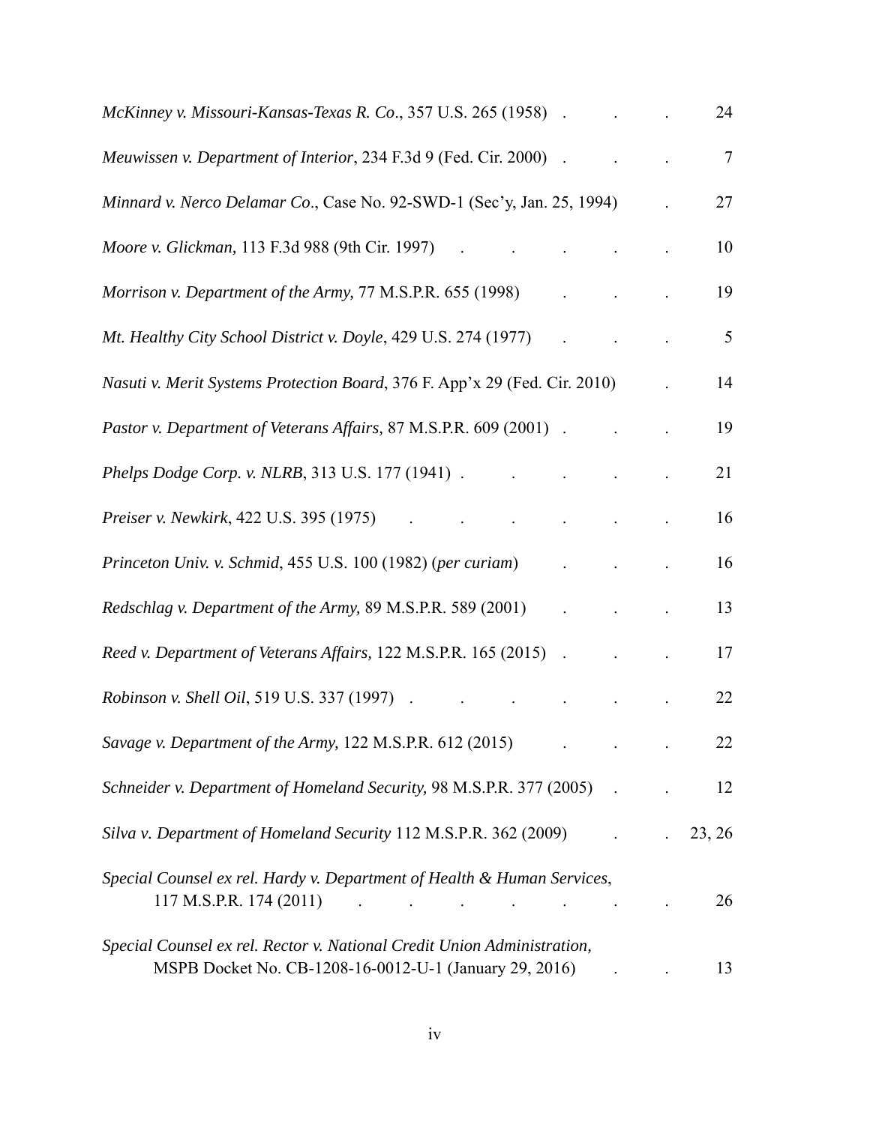| McKinney v. Missouri-Kansas-Texas R. Co., 357 U.S. 265 (1958).                                                                    |  | 24              |
|-----------------------------------------------------------------------------------------------------------------------------------|--|-----------------|
| Meuwissen v. Department of Interior, 234 F.3d 9 (Fed. Cir. 2000)<br>$\sim$                                                        |  | $7\phantom{.0}$ |
| Minnard v. Nerco Delamar Co., Case No. 92-SWD-1 (Sec'y, Jan. 25, 1994)                                                            |  | 27              |
| Moore v. Glickman, 113 F.3d 988 (9th Cir. 1997)<br>and the contract of the                                                        |  | 10              |
| Morrison v. Department of the Army, 77 M.S.P.R. 655 (1998)                                                                        |  | 19              |
| Mt. Healthy City School District v. Doyle, 429 U.S. 274 (1977)                                                                    |  | 5               |
| Nasuti v. Merit Systems Protection Board, 376 F. App'x 29 (Fed. Cir. 2010)                                                        |  | 14              |
| Pastor v. Department of Veterans Affairs, 87 M.S.P.R. 609 (2001).                                                                 |  | 19              |
| Phelps Dodge Corp. v. NLRB, 313 U.S. 177 (1941).                                                                                  |  | 21              |
| <i>Preiser v. Newkirk</i> , 422 U.S. 395 (1975)                                                                                   |  | 16              |
| Princeton Univ. v. Schmid, 455 U.S. 100 (1982) (per curiam)                                                                       |  | 16              |
| Redschlag v. Department of the Army, 89 M.S.P.R. 589 (2001)                                                                       |  | 13              |
| Reed v. Department of Veterans Affairs, 122 M.S.P.R. 165 (2015) .                                                                 |  | 17              |
| <i>Robinson v. Shell Oil, 519 U.S. 337 (1997)</i><br>$\sim$                                                                       |  | 22              |
| Savage v. Department of the Army, 122 M.S.P.R. 612 (2015)                                                                         |  | 22              |
| Schneider v. Department of Homeland Security, 98 M.S.P.R. 377 (2005)                                                              |  | 12              |
| Silva v. Department of Homeland Security 112 M.S.P.R. 362 (2009)                                                                  |  | 23, 26          |
| Special Counsel ex rel. Hardy v. Department of Health & Human Services,                                                           |  | 26              |
| Special Counsel ex rel. Rector v. National Credit Union Administration,<br>MSPB Docket No. CB-1208-16-0012-U-1 (January 29, 2016) |  | 13              |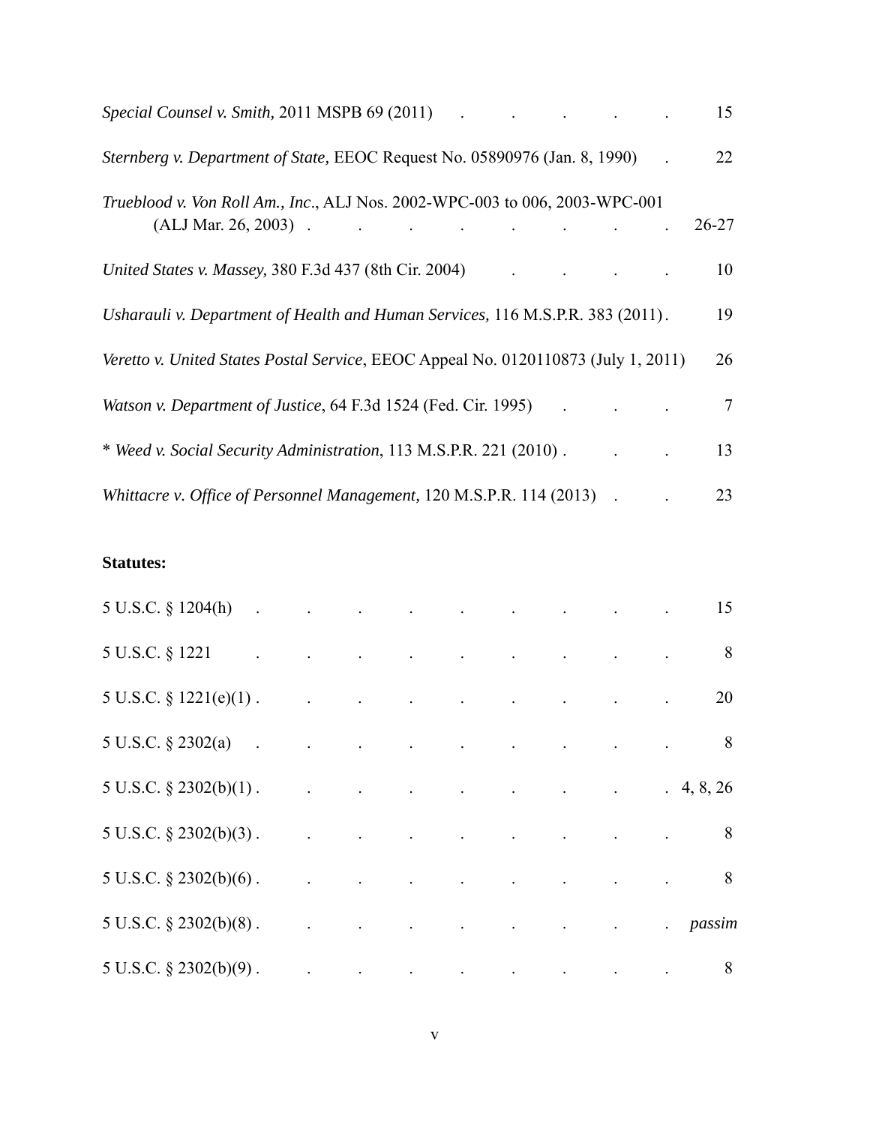| Special Counsel v. Smith, 2011 MSPB 69 (2011)                                                                                                                 | 15              |
|---------------------------------------------------------------------------------------------------------------------------------------------------------------|-----------------|
| Sternberg v. Department of State, EEOC Request No. 05890976 (Jan. 8, 1990)                                                                                    | 22              |
| Trueblood v. Von Roll Am., Inc., ALJ Nos. 2002-WPC-003 to 006, 2003-WPC-001<br>$(ALJ Mar. 26, 2003)$ .<br>the contract of the contract of the contract of the | $26 - 27$       |
| United States v. Massey, 380 F.3d 437 (8th Cir. 2004)                                                                                                         | 10              |
| Usharauli v. Department of Health and Human Services, 116 M.S.P.R. 383 (2011).                                                                                | 19              |
| Veretto v. United States Postal Service, EEOC Appeal No. 0120110873 (July 1, 2011)                                                                            | 26              |
| Watson v. Department of Justice, 64 F.3d 1524 (Fed. Cir. 1995)                                                                                                | $7\phantom{.0}$ |
| * Weed v. Social Security Administration, 113 M.S.P.R. 221 (2010).                                                                                            | 13              |
| Whittacre v. Office of Personnel Management, 120 M.S.P.R. 114 (2013)                                                                                          | 23              |

# **Statutes:**

| 5 U.S.C. § 1204(h)            |                                                                                                                             |  |                                                                                                                                                                                                                                                                                                                                                                                                     |                                                                                                                    |                                                                 |                 | 15 |
|-------------------------------|-----------------------------------------------------------------------------------------------------------------------------|--|-----------------------------------------------------------------------------------------------------------------------------------------------------------------------------------------------------------------------------------------------------------------------------------------------------------------------------------------------------------------------------------------------------|--------------------------------------------------------------------------------------------------------------------|-----------------------------------------------------------------|-----------------|----|
| 5 U.S.C. § 1221               |                                                                                                                             |  |                                                                                                                                                                                                                                                                                                                                                                                                     |                                                                                                                    | the contract of the contract of the contract of the contract of |                 | 8  |
| 5 U.S.C. $\S$ 1221(e)(1).     | $\mathcal{L}^{\mathcal{L}}$ and $\mathcal{L}^{\mathcal{L}}$ and $\mathcal{L}^{\mathcal{L}}$ and $\mathcal{L}^{\mathcal{L}}$ |  | $\mathbf{r} = \left\{ \begin{array}{ll} 0 & \mathbf{r} \in \mathbb{R}^n, \ \mathbf{r} \in \mathbb{R}^n, \ \mathbf{r} \in \mathbb{R}^n, \ \mathbf{r} \in \mathbb{R}^n, \ \mathbf{r} \in \mathbb{R}^n, \ \mathbf{r} \in \mathbb{R}^n, \ \mathbf{r} \in \mathbb{R}^n, \ \mathbf{r} \in \mathbb{R}^n, \ \mathbf{r} \in \mathbb{R}^n, \ \mathbf{r} \in \mathbb{R}^n, \ \mathbf{r} \in \mathbb{R}^n, \ \$ | $\Box$                                                                                                             |                                                                 |                 | 20 |
| 5 U.S.C. § 2302(a)            |                                                                                                                             |  |                                                                                                                                                                                                                                                                                                                                                                                                     |                                                                                                                    |                                                                 |                 | 8  |
| $5 U.S.C.$ $§$ $2302(b)(1)$ . |                                                                                                                             |  |                                                                                                                                                                                                                                                                                                                                                                                                     |                                                                                                                    | the contract of the contract of the contract of                 | 4, 8, 26        |    |
| $5 U.S.C. § 2302(b)(3)$ .     |                                                                                                                             |  | and the state of the state                                                                                                                                                                                                                                                                                                                                                                          |                                                                                                                    |                                                                 |                 | 8  |
| $5 U.S.C. § 2302(b)(6)$ .     |                                                                                                                             |  |                                                                                                                                                                                                                                                                                                                                                                                                     | $\Box$                                                                                                             | $\mathcal{L}^{\text{max}}$ and $\mathcal{L}^{\text{max}}$       |                 | 8  |
| $5 U.S.C. § 2302(b)(8)$ .     |                                                                                                                             |  |                                                                                                                                                                                                                                                                                                                                                                                                     |                                                                                                                    |                                                                 | . <i>passim</i> |    |
| $5 U.S.C. § 2302(b)(9)$ .     |                                                                                                                             |  |                                                                                                                                                                                                                                                                                                                                                                                                     | $\mathcal{A}(\mathcal{A})$ and $\mathcal{A}(\mathcal{A})$ are all the set of the set of $\mathcal{A}(\mathcal{A})$ |                                                                 |                 | 8  |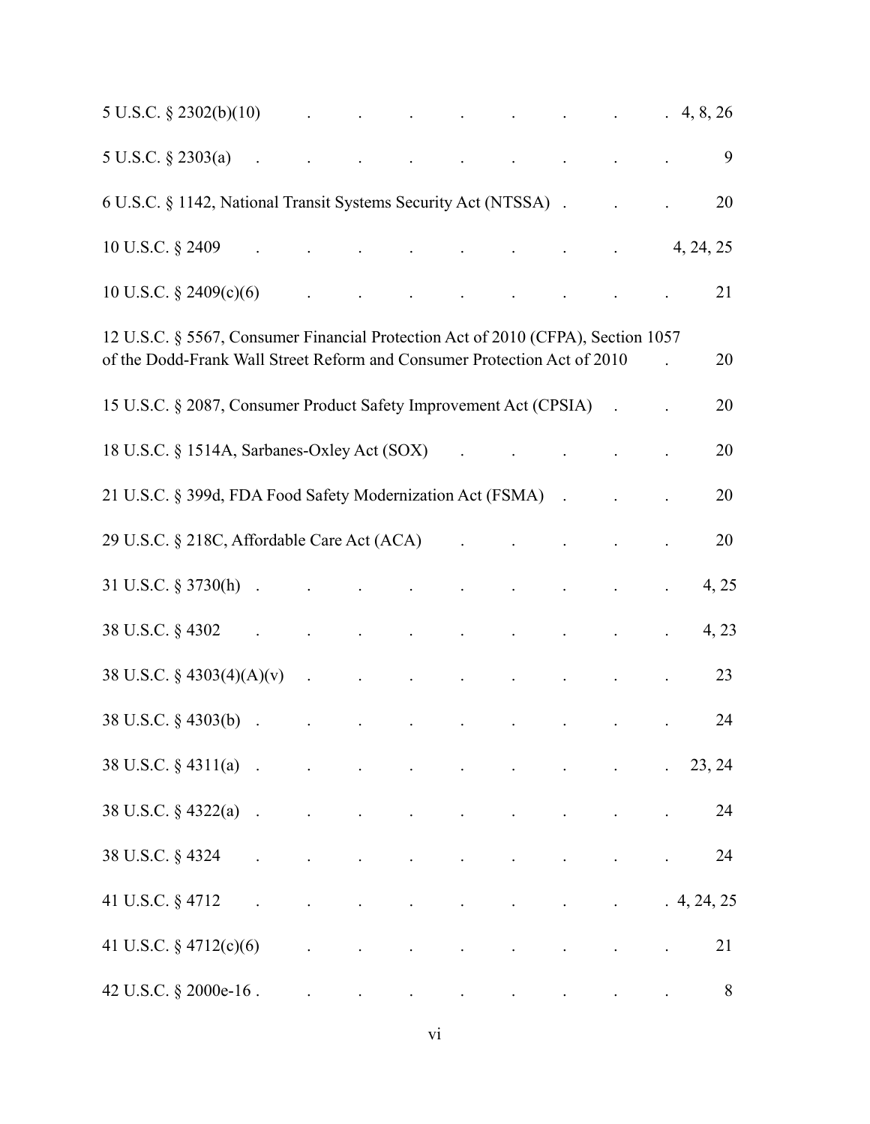| $5 \text{ U.S.C.} \S 2302(b)(10)$ . The contract of the contract of the contract of the contract of the contract of the contract of the contract of the contract of the contract of the contract of the contract of the contract of the |  |  |                               |                                                                                                                                                                                                                                           |                                     |  |           |
|-----------------------------------------------------------------------------------------------------------------------------------------------------------------------------------------------------------------------------------------|--|--|-------------------------------|-------------------------------------------------------------------------------------------------------------------------------------------------------------------------------------------------------------------------------------------|-------------------------------------|--|-----------|
| $5 \text{ U.S.C.} \S 2303(a)$ . The contract of the contract of the contract of the contract of the contract of the contract of the contract of the contract of the contract of the contract of the contract of the contract of the co  |  |  |                               |                                                                                                                                                                                                                                           |                                     |  | 9         |
|                                                                                                                                                                                                                                         |  |  |                               |                                                                                                                                                                                                                                           |                                     |  | 20        |
| $10 \text{ U.S.C. }$ \$2409 $4, 24, 25$                                                                                                                                                                                                 |  |  |                               |                                                                                                                                                                                                                                           |                                     |  |           |
| 10 U.S.C. $\S$ 2409(c)(6)                                                                                                                                                                                                               |  |  |                               | $\mathcal{L}^{\mathcal{A}}$ . The contribution of the contribution of the contribution of the contribution of the contribution of the contribution of the contribution of the contribution of the contribution of the contribution of the |                                     |  | 21        |
| 12 U.S.C. § 5567, Consumer Financial Protection Act of 2010 (CFPA), Section 1057<br>of the Dodd-Frank Wall Street Reform and Consumer Protection Act of 2010                                                                            |  |  |                               |                                                                                                                                                                                                                                           |                                     |  | 20        |
| 15 U.S.C. § 2087, Consumer Product Safety Improvement Act (CPSIA) .                                                                                                                                                                     |  |  |                               |                                                                                                                                                                                                                                           |                                     |  | 20        |
| 18 U.S.C. § 1514A, Sarbanes-Oxley Act (SOX)                                                                                                                                                                                             |  |  |                               | $\mathcal{L}^{\mathcal{A}}$ . The contract of the contract of the contract of the contract of the contract of the contract of the contract of the contract of the contract of the contract of the contract of the contract of the contrac |                                     |  | 20        |
| 21 U.S.C. § 399d, FDA Food Safety Modernization Act (FSMA) . The contract of the set of the set of the set of the set of the set of the set of the set of the set of the set of the set of the set of the set of the set of th          |  |  |                               |                                                                                                                                                                                                                                           |                                     |  | 20        |
| 29 U.S.C. § 218C, Affordable Care Act (ACA) (29 U.S.C. § 218C, Affordable Care Act (ACA)                                                                                                                                                |  |  |                               |                                                                                                                                                                                                                                           |                                     |  | 20        |
|                                                                                                                                                                                                                                         |  |  |                               |                                                                                                                                                                                                                                           |                                     |  | 4, 25     |
| $38 \text{ U.S.C.} \$ 4302 and $\sim$ 1. The set of the set of the set of the set of the set of the set of the set of the set of the set of the set of the set of the set of the set of the set of the set of the set of the set of the |  |  |                               |                                                                                                                                                                                                                                           |                                     |  | 4, 23     |
| $38 \text{ U.S.C.} \S 4303(4)(A)(v)$ .                                                                                                                                                                                                  |  |  |                               |                                                                                                                                                                                                                                           |                                     |  | 23        |
| $38 \text{ U.S.C.} \S 4303(b)$ . The contract of the contract of the contract of the contract of the contract of the contract of the contract of the contract of the contract of the contract of the contract of the contract of the c  |  |  |                               |                                                                                                                                                                                                                                           |                                     |  | 24        |
| $38 \text{ U.S.C.} \S 4311(a)$ (23, 24                                                                                                                                                                                                  |  |  |                               |                                                                                                                                                                                                                                           |                                     |  |           |
| $38 \text{ U.S.C.} \S 4322(a)$ .                                                                                                                                                                                                        |  |  |                               |                                                                                                                                                                                                                                           |                                     |  | 24        |
| 38 U.S.C. § 4324 .                                                                                                                                                                                                                      |  |  |                               | the contract of the contract of the contract of                                                                                                                                                                                           |                                     |  | 24        |
| 41 U.S.C. § 4712 .                                                                                                                                                                                                                      |  |  | and the state of the state of |                                                                                                                                                                                                                                           | and the contract of the contract of |  | 4, 24, 25 |
| 41 U.S.C. $\S$ 4712(c)(6)                                                                                                                                                                                                               |  |  | $\Box$                        |                                                                                                                                                                                                                                           |                                     |  | 21        |
| $42 \text{ U.S.C. }$ \$ 2000e-16.                                                                                                                                                                                                       |  |  |                               |                                                                                                                                                                                                                                           |                                     |  | 8         |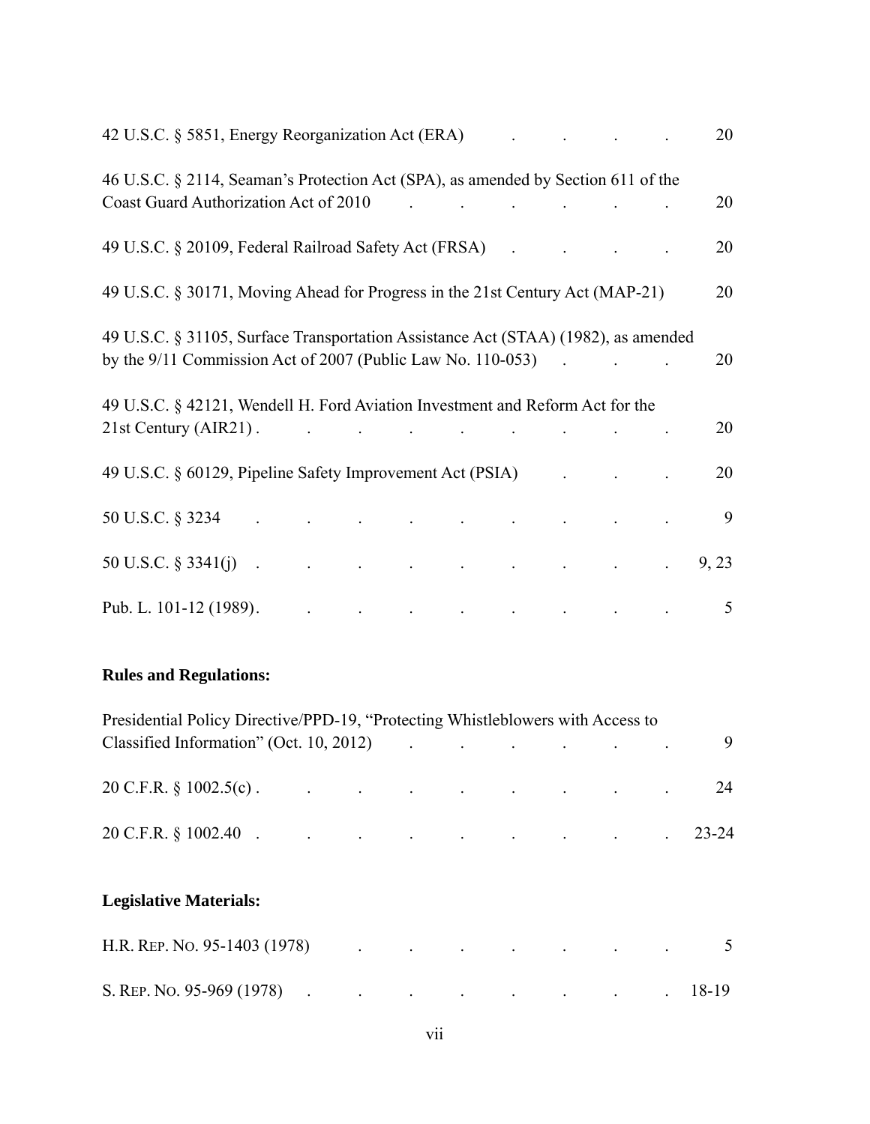| 42 U.S.C. § 5851, Energy Reorganization Act (ERA)                                                                                                                                                                                      |                                                                                                                                           |  |                                                                                                                                                                                                                                  |                                                                                          | 20    |
|----------------------------------------------------------------------------------------------------------------------------------------------------------------------------------------------------------------------------------------|-------------------------------------------------------------------------------------------------------------------------------------------|--|----------------------------------------------------------------------------------------------------------------------------------------------------------------------------------------------------------------------------------|------------------------------------------------------------------------------------------|-------|
| 46 U.S.C. § 2114, Seaman's Protection Act (SPA), as amended by Section 611 of the<br>Coast Guard Authorization Act of 2010                                                                                                             |                                                                                                                                           |  |                                                                                                                                                                                                                                  |                                                                                          | 20    |
| 49 U.S.C. § 20109, Federal Railroad Safety Act (FRSA)                                                                                                                                                                                  |                                                                                                                                           |  |                                                                                                                                                                                                                                  |                                                                                          | 20    |
| 49 U.S.C. § 30171, Moving Ahead for Progress in the 21st Century Act (MAP-21)                                                                                                                                                          |                                                                                                                                           |  |                                                                                                                                                                                                                                  |                                                                                          | 20    |
| 49 U.S.C. § 31105, Surface Transportation Assistance Act (STAA) (1982), as amended<br>by the 9/11 Commission Act of 2007 (Public Law No. 110-053)                                                                                      |                                                                                                                                           |  |                                                                                                                                                                                                                                  | $\mathcal{L}^{\text{max}}$ and $\mathcal{L}^{\text{max}}$ and $\mathcal{L}^{\text{max}}$ | 20    |
| 49 U.S.C. § 42121, Wendell H. Ford Aviation Investment and Reform Act for the<br>21st Century (AIR21).                                                                                                                                 |                                                                                                                                           |  |                                                                                                                                                                                                                                  |                                                                                          | 20    |
| 49 U.S.C. § 60129, Pipeline Safety Improvement Act (PSIA)                                                                                                                                                                              |                                                                                                                                           |  |                                                                                                                                                                                                                                  |                                                                                          | 20    |
| 50 U.S.C. § 3234                                                                                                                                                                                                                       | $\mathcal{L}^{\mathcal{A}}$ . The contribution of the contribution of the contribution of the contribution of $\mathcal{L}^{\mathcal{A}}$ |  |                                                                                                                                                                                                                                  |                                                                                          | 9     |
| $50 \text{ U.S.C.} \S 3341(j)$ . The contract of the contract of the contract of the contract of the contract of the contract of the contract of the contract of the contract of the contract of the contract of the contract of the c |                                                                                                                                           |  |                                                                                                                                                                                                                                  |                                                                                          | 9, 23 |
| Pub. L. 101-12 (1989).                                                                                                                                                                                                                 |                                                                                                                                           |  | $\mathbf{r}$ , and the set of the set of the set of the set of the set of the set of the set of the set of the set of the set of the set of the set of the set of the set of the set of the set of the set of the set of the set |                                                                                          | 5     |

# **Rules and Regulations:**

| Presidential Policy Directive/PPD-19, "Protecting Whistleblowers with Access to                                                                                                                                                |  |  |  |  |  |  |  |  |  |  |  |
|--------------------------------------------------------------------------------------------------------------------------------------------------------------------------------------------------------------------------------|--|--|--|--|--|--|--|--|--|--|--|
| Classified Information" (Oct. 10, 2012) . The contract of the set of the set of the set of the set of the set of the set of the set of the set of the set of the set of the set of the set of the set of the set of the set of |  |  |  |  |  |  |  |  |  |  |  |
|                                                                                                                                                                                                                                |  |  |  |  |  |  |  |  |  |  |  |
| $20 \text{ C.F.R. } \S 1002.5(c)$ . 24                                                                                                                                                                                         |  |  |  |  |  |  |  |  |  |  |  |
|                                                                                                                                                                                                                                |  |  |  |  |  |  |  |  |  |  |  |
| 20 C.F.R. § 1002.40 (23-24)                                                                                                                                                                                                    |  |  |  |  |  |  |  |  |  |  |  |
|                                                                                                                                                                                                                                |  |  |  |  |  |  |  |  |  |  |  |

# **Legislative Materials:**

| H.R. REP. No. 95-1403 (1978)    |  | the contract of the contract of the contract of the contract of the contract of |  |  |  |
|---------------------------------|--|---------------------------------------------------------------------------------|--|--|--|
| S. REP. No. 95-969 (1978) 18-19 |  |                                                                                 |  |  |  |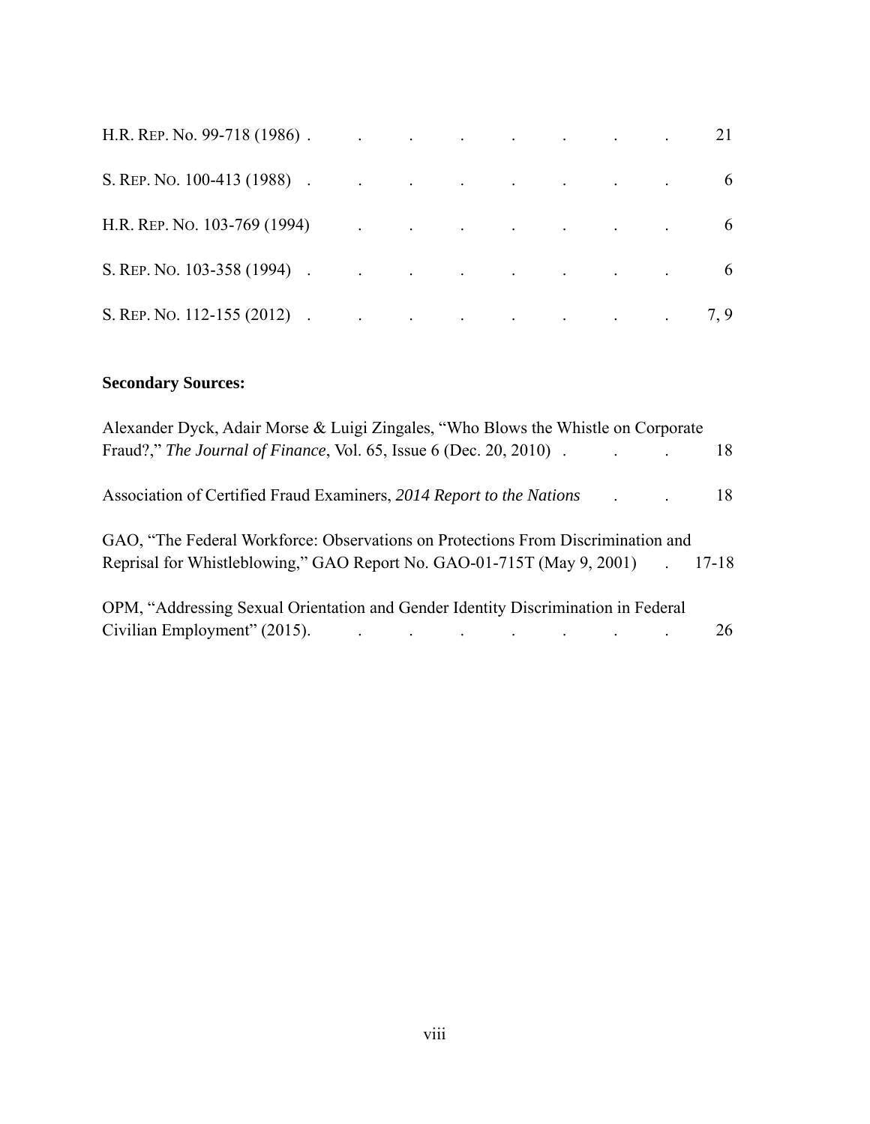| H.R. REP. No. 99-718 (1986). The contract of the contract of the contract of the contract of the contract of the contract of the contract of the contract of the contract of the contract of the contract of the contract of t |  |  |  |  |
|--------------------------------------------------------------------------------------------------------------------------------------------------------------------------------------------------------------------------------|--|--|--|--|
| S. REP. NO. 100-413 (1988).                                                                                                                                                                                                    |  |  |  |  |
| H.R. REP. NO. 103-769 (1994) (1994)                                                                                                                                                                                            |  |  |  |  |
| S. REP. NO. 103-358 (1994).                                                                                                                                                                                                    |  |  |  |  |
| S. REP. NO. 112-155 (2012) $\qquad \qquad$ .                                                                                                                                                                                   |  |  |  |  |

# **Secondary Sources:**

| Alexander Dyck, Adair Morse & Luigi Zingales, "Who Blows the Whistle on Corporate                                                       |    |
|-----------------------------------------------------------------------------------------------------------------------------------------|----|
| Fraud?," The Journal of Finance, Vol. 65, Issue 6 (Dec. 20, 2010).<br>$\mathcal{L}^{\text{max}}$ , and $\mathcal{L}^{\text{max}}$ , and | 18 |
| Association of Certified Fraud Examiners, 2014 Report to the Nations                                                                    | 18 |
| GAO, "The Federal Workforce: Observations on Protections From Discrimination and                                                        |    |
| Reprisal for Whistleblowing," GAO Report No. GAO-01-715T (May 9, 2001) 17-18                                                            |    |
| OPM, "Addressing Sexual Orientation and Gender Identity Discrimination in Federal                                                       |    |
| Civilian Employment" (2015).                                                                                                            | 26 |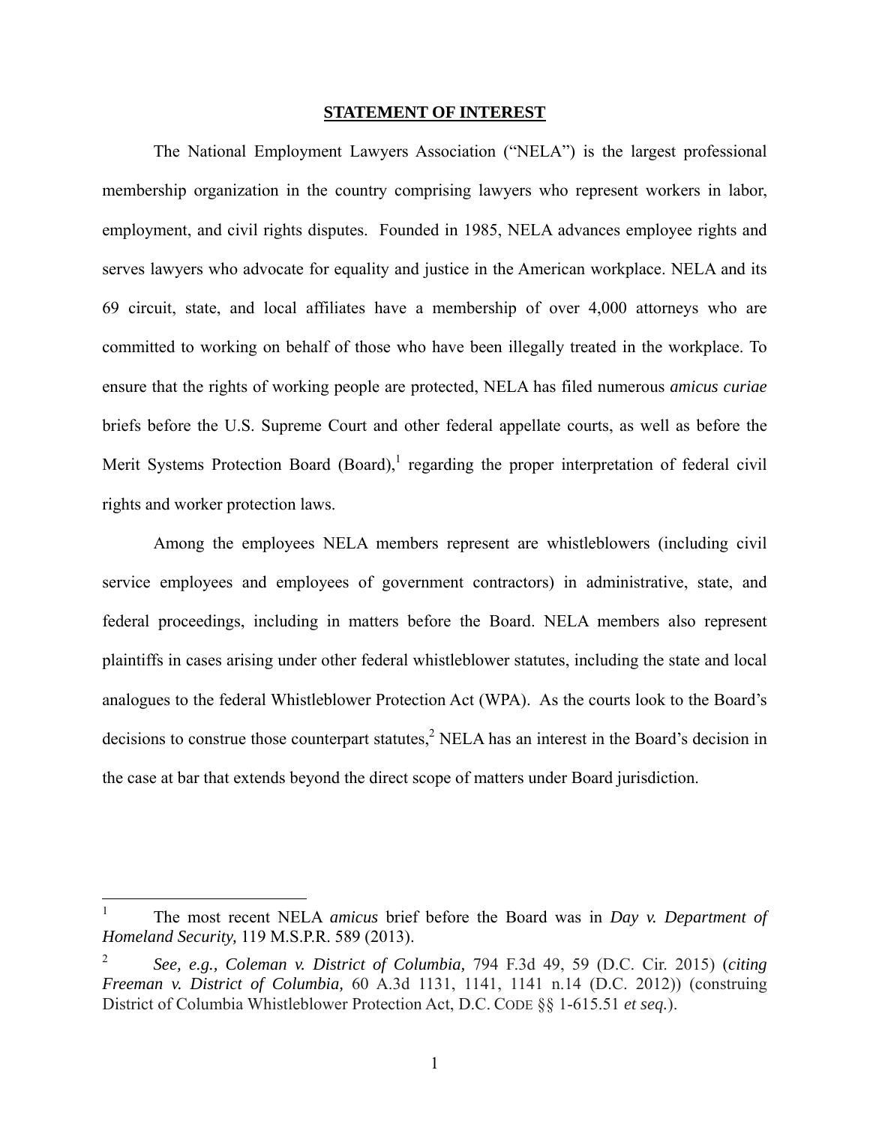#### **STATEMENT OF INTEREST**

 The National Employment Lawyers Association ("NELA") is the largest professional membership organization in the country comprising lawyers who represent workers in labor, employment, and civil rights disputes. Founded in 1985, NELA advances employee rights and serves lawyers who advocate for equality and justice in the American workplace. NELA and its 69 circuit, state, and local affiliates have a membership of over 4,000 attorneys who are committed to working on behalf of those who have been illegally treated in the workplace. To ensure that the rights of working people are protected, NELA has filed numerous *amicus curiae*  briefs before the U.S. Supreme Court and other federal appellate courts, as well as before the Merit Systems Protection Board  $(Board)$ , regarding the proper interpretation of federal civil rights and worker protection laws.

Among the employees NELA members represent are whistleblowers (including civil service employees and employees of government contractors) in administrative, state, and federal proceedings, including in matters before the Board. NELA members also represent plaintiffs in cases arising under other federal whistleblower statutes, including the state and local analogues to the federal Whistleblower Protection Act (WPA). As the courts look to the Board's decisions to construe those counterpart statutes,<sup>2</sup> NELA has an interest in the Board's decision in the case at bar that extends beyond the direct scope of matters under Board jurisdiction.

 $\frac{1}{1}$  The most recent NELA *amicus* brief before the Board was in *Day v. Department of Homeland Security,* 119 M.S.P.R. 589 (2013).

<sup>2</sup> *See, e.g., Coleman v. District of Columbia,* 794 F.3d 49, 59 (D.C. Cir. 2015) (*citing Freeman v. District of Columbia,* 60 A.3d 1131, 1141, 1141 n.14 (D.C. 2012)) (construing District of Columbia Whistleblower Protection Act, D.C. CODE §§ 1-615.51 *et seq.*).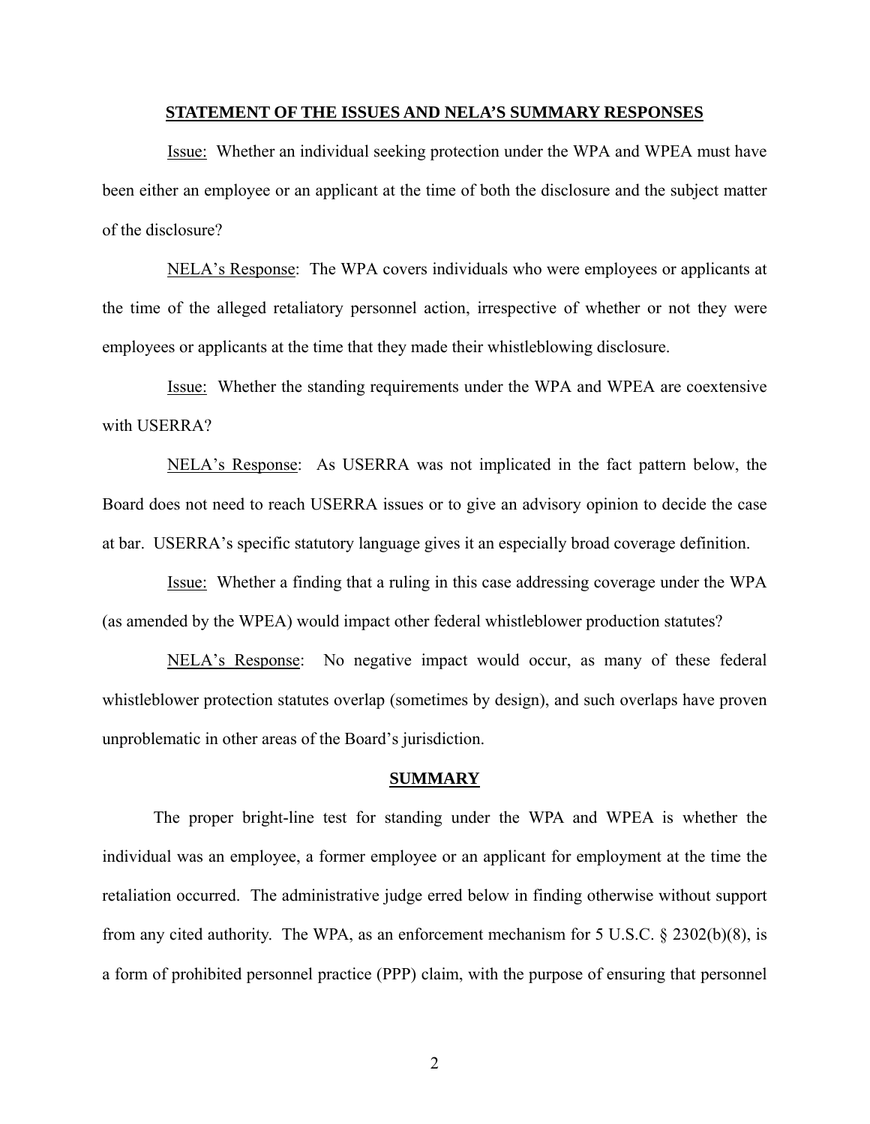#### **STATEMENT OF THE ISSUES AND NELA'S SUMMARY RESPONSES**

 Issue: Whether an individual seeking protection under the WPA and WPEA must have been either an employee or an applicant at the time of both the disclosure and the subject matter of the disclosure?

 NELA's Response: The WPA covers individuals who were employees or applicants at the time of the alleged retaliatory personnel action, irrespective of whether or not they were employees or applicants at the time that they made their whistleblowing disclosure.

 Issue: Whether the standing requirements under the WPA and WPEA are coextensive with USERRA?

 NELA's Response: As USERRA was not implicated in the fact pattern below, the Board does not need to reach USERRA issues or to give an advisory opinion to decide the case at bar. USERRA's specific statutory language gives it an especially broad coverage definition.

 Issue: Whether a finding that a ruling in this case addressing coverage under the WPA (as amended by the WPEA) would impact other federal whistleblower production statutes?

 NELA's Response: No negative impact would occur, as many of these federal whistleblower protection statutes overlap (sometimes by design), and such overlaps have proven unproblematic in other areas of the Board's jurisdiction.

#### **SUMMARY**

 The proper bright-line test for standing under the WPA and WPEA is whether the individual was an employee, a former employee or an applicant for employment at the time the retaliation occurred. The administrative judge erred below in finding otherwise without support from any cited authority. The WPA, as an enforcement mechanism for 5 U.S.C. § 2302(b)(8), is a form of prohibited personnel practice (PPP) claim, with the purpose of ensuring that personnel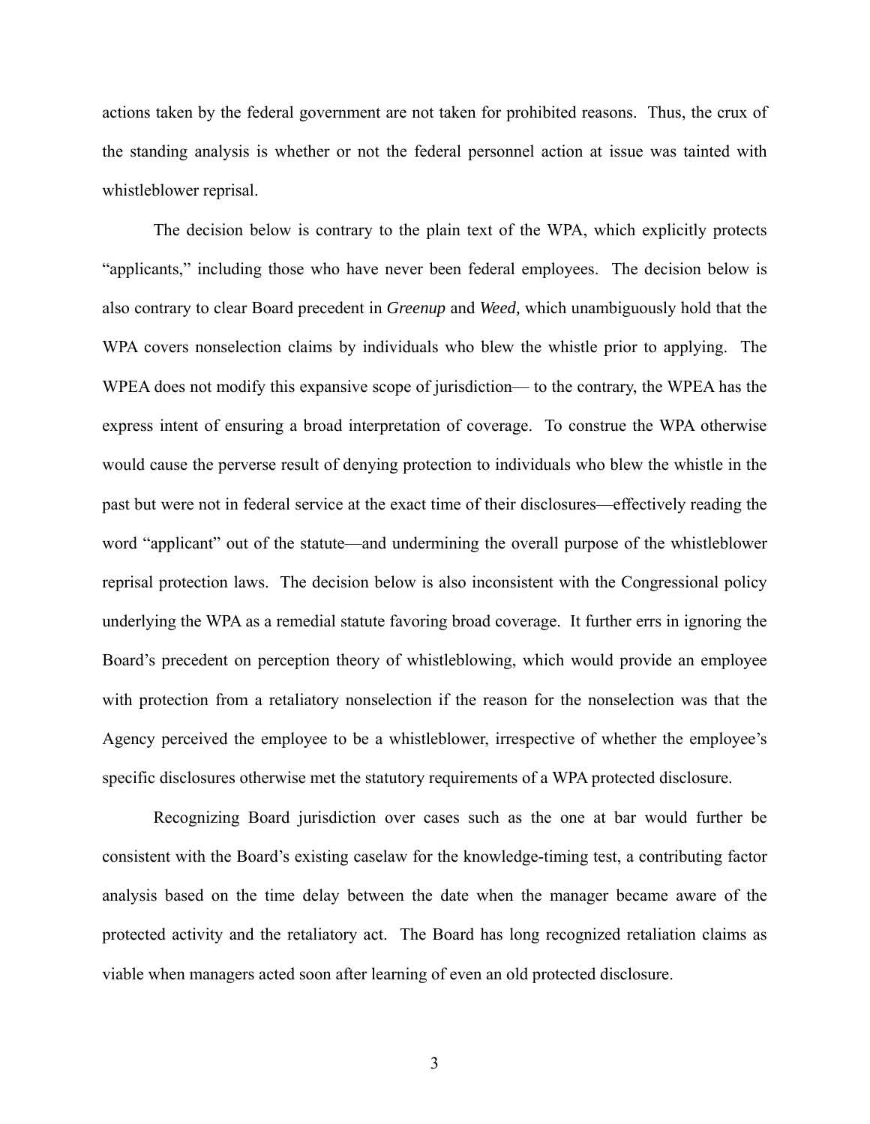actions taken by the federal government are not taken for prohibited reasons. Thus, the crux of the standing analysis is whether or not the federal personnel action at issue was tainted with whistleblower reprisal.

The decision below is contrary to the plain text of the WPA, which explicitly protects "applicants," including those who have never been federal employees. The decision below is also contrary to clear Board precedent in *Greenup* and *Weed,* which unambiguously hold that the WPA covers nonselection claims by individuals who blew the whistle prior to applying. The WPEA does not modify this expansive scope of jurisdiction— to the contrary, the WPEA has the express intent of ensuring a broad interpretation of coverage. To construe the WPA otherwise would cause the perverse result of denying protection to individuals who blew the whistle in the past but were not in federal service at the exact time of their disclosures—effectively reading the word "applicant" out of the statute—and undermining the overall purpose of the whistleblower reprisal protection laws. The decision below is also inconsistent with the Congressional policy underlying the WPA as a remedial statute favoring broad coverage. It further errs in ignoring the Board's precedent on perception theory of whistleblowing, which would provide an employee with protection from a retaliatory nonselection if the reason for the nonselection was that the Agency perceived the employee to be a whistleblower, irrespective of whether the employee's specific disclosures otherwise met the statutory requirements of a WPA protected disclosure.

Recognizing Board jurisdiction over cases such as the one at bar would further be consistent with the Board's existing caselaw for the knowledge-timing test, a contributing factor analysis based on the time delay between the date when the manager became aware of the protected activity and the retaliatory act. The Board has long recognized retaliation claims as viable when managers acted soon after learning of even an old protected disclosure.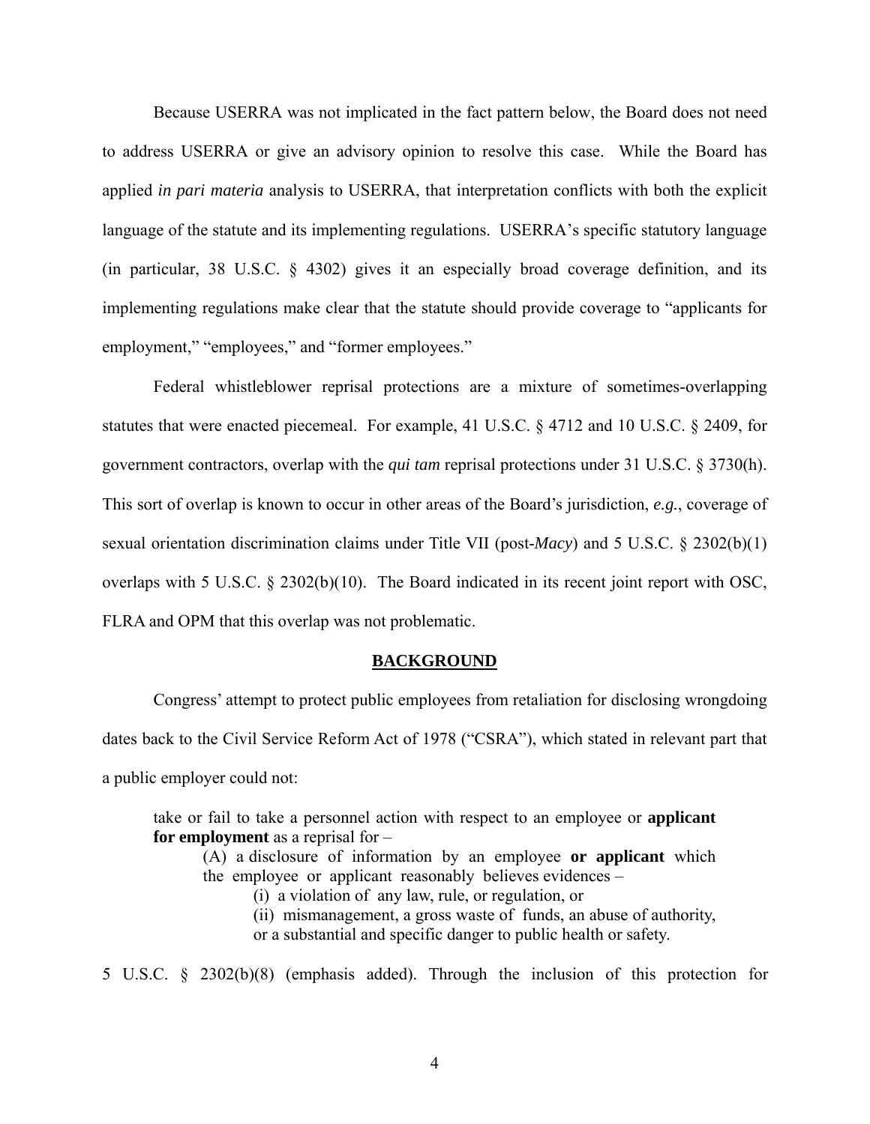Because USERRA was not implicated in the fact pattern below, the Board does not need to address USERRA or give an advisory opinion to resolve this case. While the Board has applied *in pari materia* analysis to USERRA, that interpretation conflicts with both the explicit language of the statute and its implementing regulations. USERRA's specific statutory language (in particular, 38 U.S.C. § 4302) gives it an especially broad coverage definition, and its implementing regulations make clear that the statute should provide coverage to "applicants for employment," "employees," and "former employees."

Federal whistleblower reprisal protections are a mixture of sometimes-overlapping statutes that were enacted piecemeal. For example, 41 U.S.C. § 4712 and 10 U.S.C. § 2409, for government contractors, overlap with the *qui tam* reprisal protections under 31 U.S.C. § 3730(h). This sort of overlap is known to occur in other areas of the Board's jurisdiction, *e.g.*, coverage of sexual orientation discrimination claims under Title VII (post-*Macy*) and 5 U.S.C. § 2302(b)(1) overlaps with 5 U.S.C. § 2302(b)(10). The Board indicated in its recent joint report with OSC, FLRA and OPM that this overlap was not problematic.

#### **BACKGROUND**

 Congress' attempt to protect public employees from retaliation for disclosing wrongdoing dates back to the Civil Service Reform Act of 1978 ("CSRA"), which stated in relevant part that a public employer could not:

take or fail to take a personnel action with respect to an employee or **applicant for employment** as a reprisal for –

(A) a disclosure of information by an employee **or applicant** which the employee or applicant reasonably believes evidences –

(i) a violation of any law, rule, or regulation, or

(ii) mismanagement, a gross waste of funds, an abuse of authority,

or a substantial and specific danger to public health or safety.

5 U.S.C. § 2302(b)(8) (emphasis added). Through the inclusion of this protection for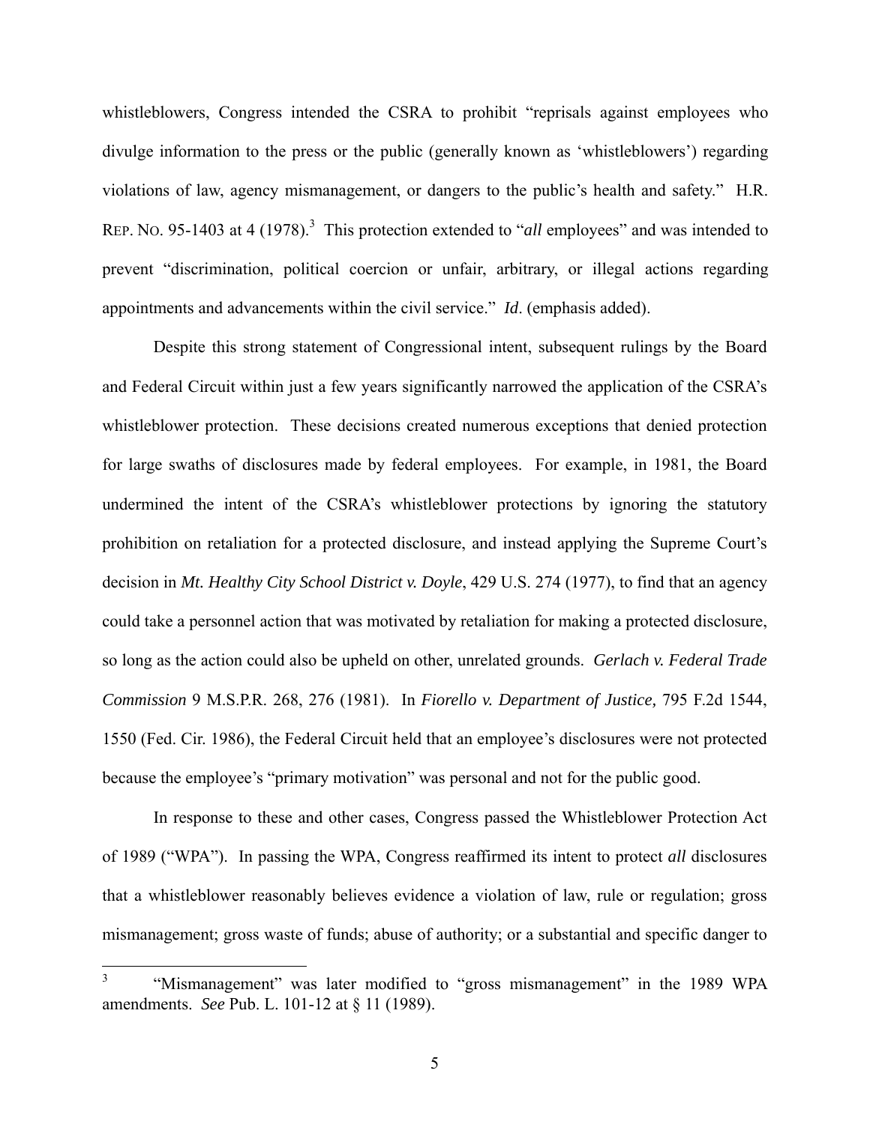whistleblowers, Congress intended the CSRA to prohibit "reprisals against employees who divulge information to the press or the public (generally known as 'whistleblowers') regarding violations of law, agency mismanagement, or dangers to the public's health and safety." H.R. REP. No. 95-1403 at 4 (1978).<sup>3</sup> This protection extended to "*all* employees" and was intended to prevent "discrimination, political coercion or unfair, arbitrary, or illegal actions regarding appointments and advancements within the civil service." *Id*. (emphasis added).

 Despite this strong statement of Congressional intent, subsequent rulings by the Board and Federal Circuit within just a few years significantly narrowed the application of the CSRA's whistleblower protection. These decisions created numerous exceptions that denied protection for large swaths of disclosures made by federal employees. For example, in 1981, the Board undermined the intent of the CSRA's whistleblower protections by ignoring the statutory prohibition on retaliation for a protected disclosure, and instead applying the Supreme Court's decision in *Mt. Healthy City School District v. Doyle*, 429 U.S. 274 (1977), to find that an agency could take a personnel action that was motivated by retaliation for making a protected disclosure, so long as the action could also be upheld on other, unrelated grounds. *Gerlach v. Federal Trade Commission* 9 M.S.P.R. 268, 276 (1981). In *Fiorello v. Department of Justice,* 795 F.2d 1544, 1550 (Fed. Cir. 1986), the Federal Circuit held that an employee's disclosures were not protected because the employee's "primary motivation" was personal and not for the public good.

 In response to these and other cases, Congress passed the Whistleblower Protection Act of 1989 ("WPA"). In passing the WPA, Congress reaffirmed its intent to protect *all* disclosures that a whistleblower reasonably believes evidence a violation of law, rule or regulation; gross mismanagement; gross waste of funds; abuse of authority; or a substantial and specific danger to

 $\frac{1}{3}$  "Mismanagement" was later modified to "gross mismanagement" in the 1989 WPA amendments. *See* Pub. L. 101-12 at § 11 (1989).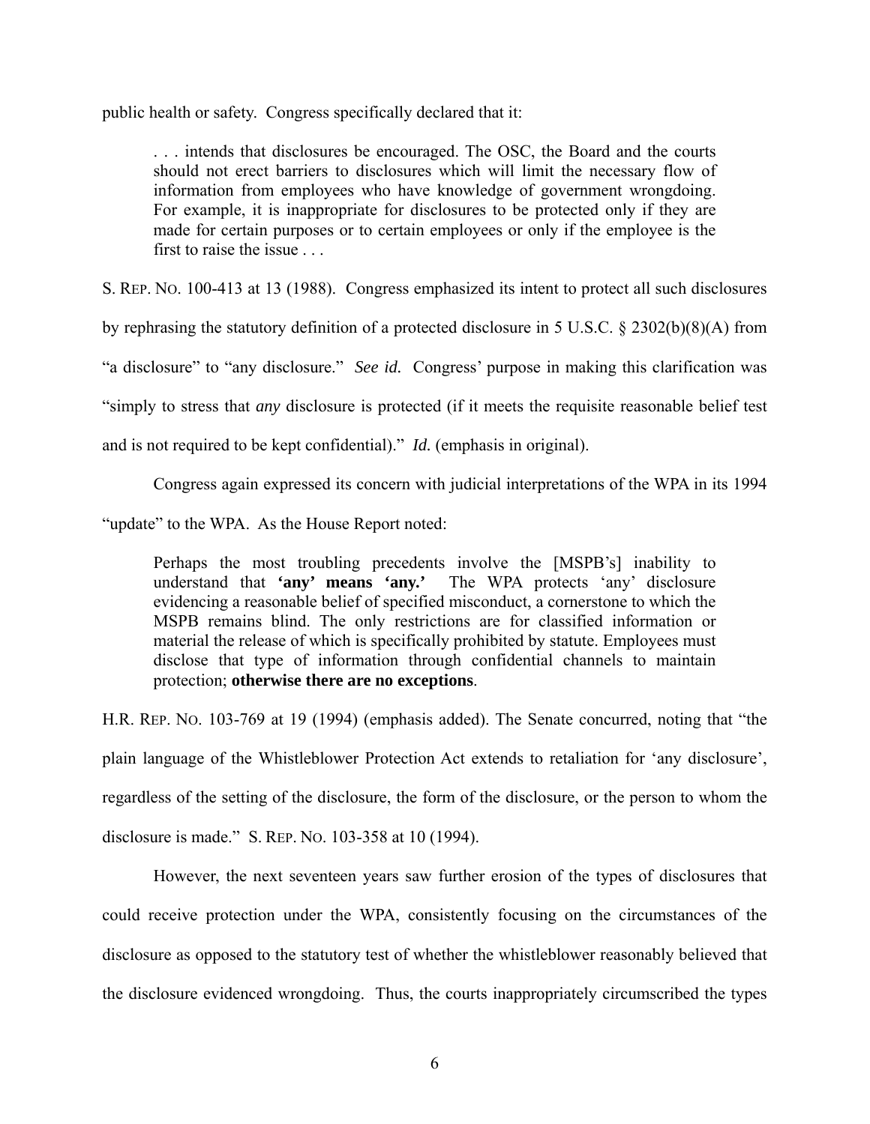public health or safety. Congress specifically declared that it:

. . . intends that disclosures be encouraged. The OSC, the Board and the courts should not erect barriers to disclosures which will limit the necessary flow of information from employees who have knowledge of government wrongdoing. For example, it is inappropriate for disclosures to be protected only if they are made for certain purposes or to certain employees or only if the employee is the first to raise the issue . . .

S. REP. NO. 100-413 at 13 (1988). Congress emphasized its intent to protect all such disclosures

by rephrasing the statutory definition of a protected disclosure in 5 U.S.C. § 2302(b)(8)(A) from

"a disclosure" to "any disclosure." *See id.* Congress' purpose in making this clarification was

"simply to stress that *any* disclosure is protected (if it meets the requisite reasonable belief test

and is not required to be kept confidential)." *Id.* (emphasis in original).

Congress again expressed its concern with judicial interpretations of the WPA in its 1994

"update" to the WPA. As the House Report noted:

Perhaps the most troubling precedents involve the [MSPB's] inability to understand that **'any' means 'any.'** The WPA protects 'any' disclosure evidencing a reasonable belief of specified misconduct, a cornerstone to which the MSPB remains blind. The only restrictions are for classified information or material the release of which is specifically prohibited by statute. Employees must disclose that type of information through confidential channels to maintain protection; **otherwise there are no exceptions**.

H.R. REP. NO. 103-769 at 19 (1994) (emphasis added). The Senate concurred, noting that "the plain language of the Whistleblower Protection Act extends to retaliation for 'any disclosure', regardless of the setting of the disclosure, the form of the disclosure, or the person to whom the disclosure is made." S. REP. NO. 103-358 at 10 (1994).

 However, the next seventeen years saw further erosion of the types of disclosures that could receive protection under the WPA, consistently focusing on the circumstances of the disclosure as opposed to the statutory test of whether the whistleblower reasonably believed that the disclosure evidenced wrongdoing. Thus, the courts inappropriately circumscribed the types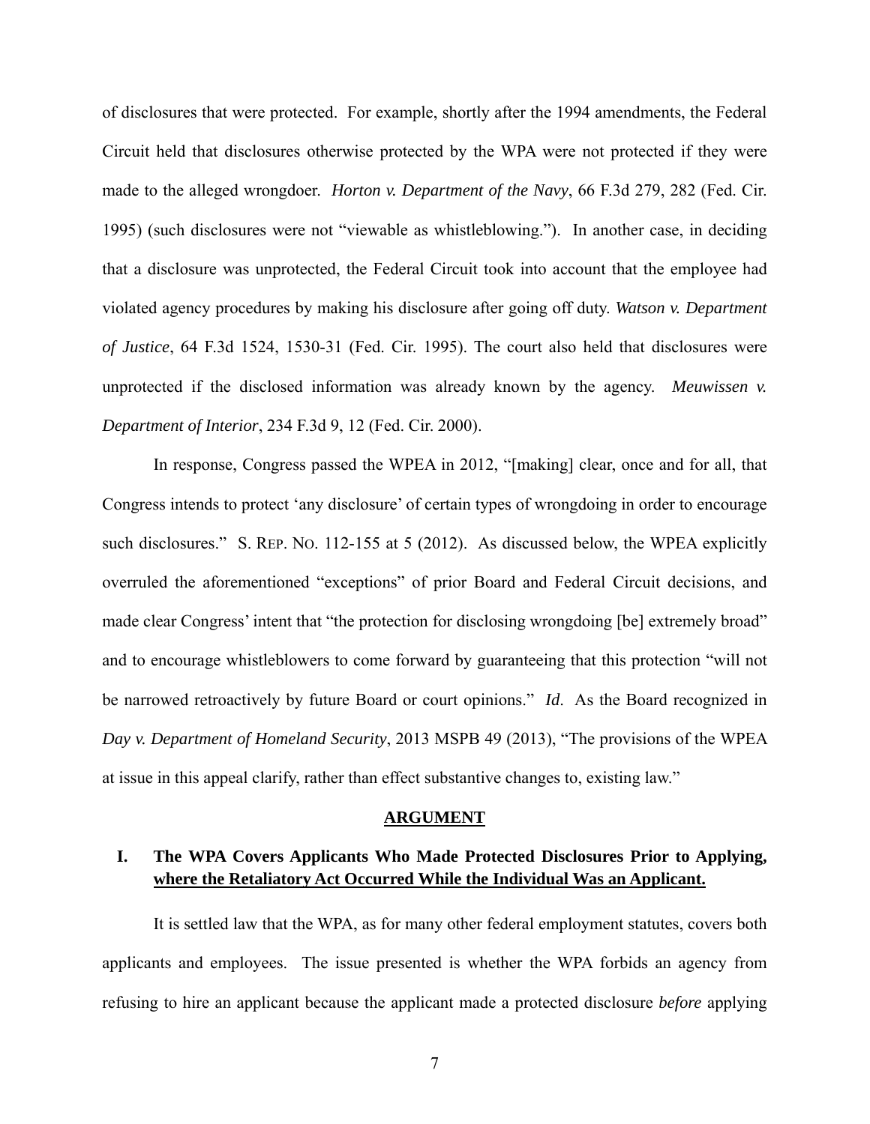of disclosures that were protected. For example, shortly after the 1994 amendments, the Federal Circuit held that disclosures otherwise protected by the WPA were not protected if they were made to the alleged wrongdoer. *Horton v. Department of the Navy*, 66 F.3d 279, 282 (Fed. Cir. 1995) (such disclosures were not "viewable as whistleblowing."). In another case, in deciding that a disclosure was unprotected, the Federal Circuit took into account that the employee had violated agency procedures by making his disclosure after going off duty. *Watson v. Department of Justice*, 64 F.3d 1524, 1530-31 (Fed. Cir. 1995). The court also held that disclosures were unprotected if the disclosed information was already known by the agency. *Meuwissen v. Department of Interior*, 234 F.3d 9, 12 (Fed. Cir. 2000).

 In response, Congress passed the WPEA in 2012, "[making] clear, once and for all, that Congress intends to protect 'any disclosure' of certain types of wrongdoing in order to encourage such disclosures." S. REP. No. 112-155 at 5 (2012). As discussed below, the WPEA explicitly overruled the aforementioned "exceptions" of prior Board and Federal Circuit decisions, and made clear Congress' intent that "the protection for disclosing wrongdoing [be] extremely broad" and to encourage whistleblowers to come forward by guaranteeing that this protection "will not be narrowed retroactively by future Board or court opinions." *Id*. As the Board recognized in *Day v. Department of Homeland Security*, 2013 MSPB 49 (2013), "The provisions of the WPEA at issue in this appeal clarify, rather than effect substantive changes to, existing law."

#### **ARGUMENT**

## **I. The WPA Covers Applicants Who Made Protected Disclosures Prior to Applying, where the Retaliatory Act Occurred While the Individual Was an Applicant.**

It is settled law that the WPA, as for many other federal employment statutes, covers both applicants and employees. The issue presented is whether the WPA forbids an agency from refusing to hire an applicant because the applicant made a protected disclosure *before* applying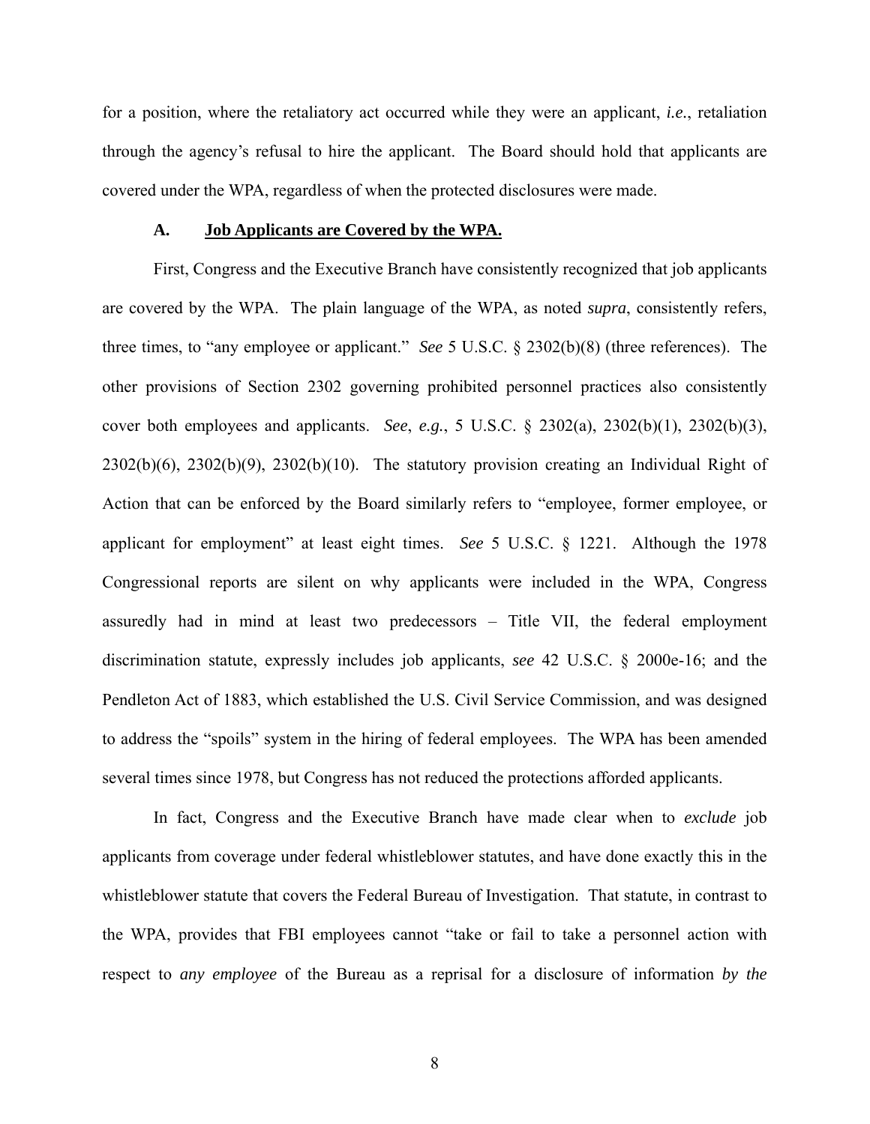for a position, where the retaliatory act occurred while they were an applicant, *i.e.*, retaliation through the agency's refusal to hire the applicant. The Board should hold that applicants are covered under the WPA, regardless of when the protected disclosures were made.

#### **A. Job Applicants are Covered by the WPA.**

 First, Congress and the Executive Branch have consistently recognized that job applicants are covered by the WPA. The plain language of the WPA, as noted *supra*, consistently refers, three times, to "any employee or applicant." *See* 5 U.S.C. § 2302(b)(8) (three references). The other provisions of Section 2302 governing prohibited personnel practices also consistently cover both employees and applicants. *See*, *e.g.*, 5 U.S.C. § 2302(a), 2302(b)(1), 2302(b)(3), 2302(b)(6), 2302(b)(9), 2302(b)(10). The statutory provision creating an Individual Right of Action that can be enforced by the Board similarly refers to "employee, former employee, or applicant for employment" at least eight times. *See* 5 U.S.C. § 1221. Although the 1978 Congressional reports are silent on why applicants were included in the WPA, Congress assuredly had in mind at least two predecessors – Title VII, the federal employment discrimination statute, expressly includes job applicants, *see* 42 U.S.C. § 2000e-16; and the Pendleton Act of 1883, which established the U.S. Civil Service Commission, and was designed to address the "spoils" system in the hiring of federal employees. The WPA has been amended several times since 1978, but Congress has not reduced the protections afforded applicants.

 In fact, Congress and the Executive Branch have made clear when to *exclude* job applicants from coverage under federal whistleblower statutes, and have done exactly this in the whistleblower statute that covers the Federal Bureau of Investigation. That statute, in contrast to the WPA, provides that FBI employees cannot "take or fail to take a personnel action with respect to *any employee* of the Bureau as a reprisal for a disclosure of information *by the*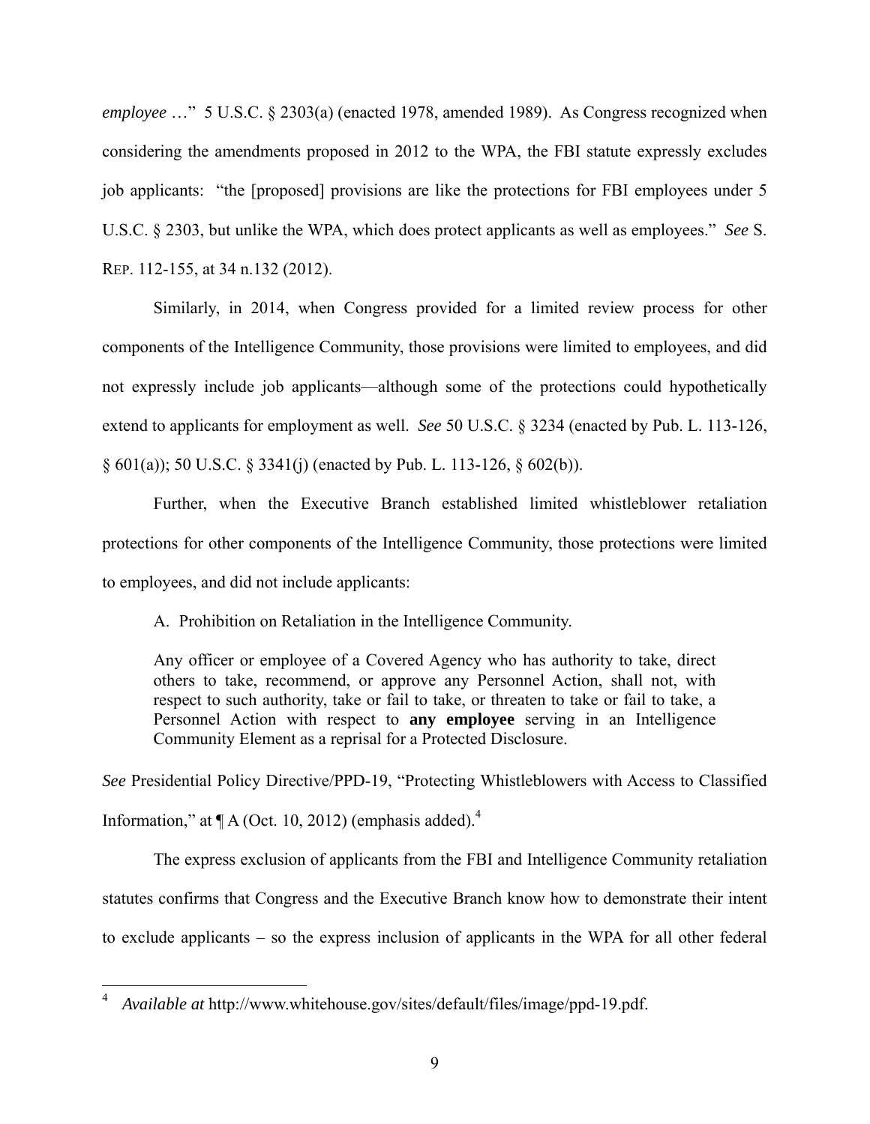*employee* …" 5 U.S.C. § 2303(a) (enacted 1978, amended 1989). As Congress recognized when considering the amendments proposed in 2012 to the WPA, the FBI statute expressly excludes job applicants: "the [proposed] provisions are like the protections for FBI employees under 5 U.S.C. § 2303, but unlike the WPA, which does protect applicants as well as employees." *See* S. REP. 112-155, at 34 n.132 (2012).

Similarly, in 2014, when Congress provided for a limited review process for other components of the Intelligence Community, those provisions were limited to employees, and did not expressly include job applicants—although some of the protections could hypothetically extend to applicants for employment as well. *See* 50 U.S.C. § 3234 (enacted by Pub. L. 113-126, § 601(a)); 50 U.S.C. § 3341(j) (enacted by Pub. L. 113-126, § 602(b)).

Further, when the Executive Branch established limited whistleblower retaliation protections for other components of the Intelligence Community, those protections were limited to employees, and did not include applicants:

A. Prohibition on Retaliation in the Intelligence Community.

Any officer or employee of a Covered Agency who has authority to take, direct others to take, recommend, or approve any Personnel Action, shall not, with respect to such authority, take or fail to take, or threaten to take or fail to take, a Personnel Action with respect to **any employee** serving in an Intelligence Community Element as a reprisal for a Protected Disclosure.

*See* Presidential Policy Directive/PPD-19, "Protecting Whistleblowers with Access to Classified Information," at  $\P$  A (Oct. 10, 2012) (emphasis added).<sup>4</sup>

The express exclusion of applicants from the FBI and Intelligence Community retaliation statutes confirms that Congress and the Executive Branch know how to demonstrate their intent to exclude applicants – so the express inclusion of applicants in the WPA for all other federal

 $\overline{a}$ 

<sup>4</sup> *Available at* http://www.whitehouse.gov/sites/default/files/image/ppd-19.pdf.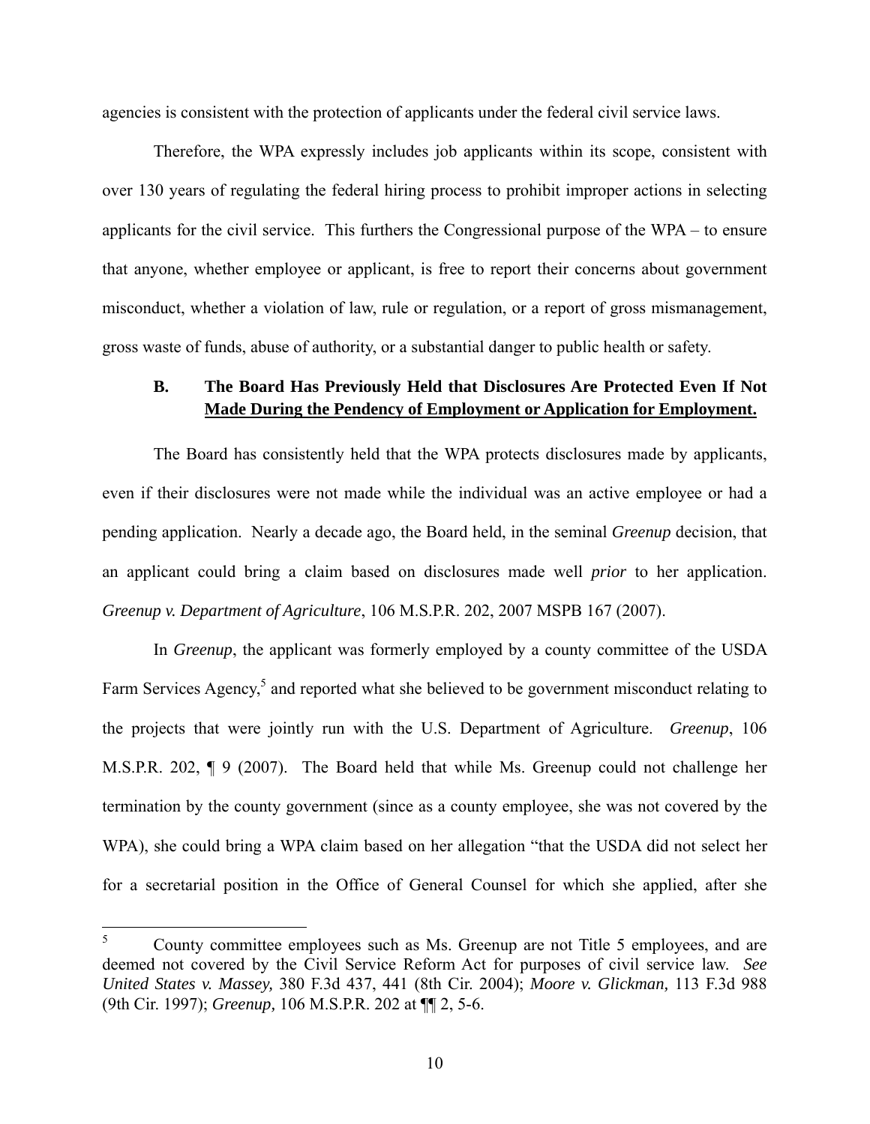agencies is consistent with the protection of applicants under the federal civil service laws.

 Therefore, the WPA expressly includes job applicants within its scope, consistent with over 130 years of regulating the federal hiring process to prohibit improper actions in selecting applicants for the civil service. This furthers the Congressional purpose of the WPA – to ensure that anyone, whether employee or applicant, is free to report their concerns about government misconduct, whether a violation of law, rule or regulation, or a report of gross mismanagement, gross waste of funds, abuse of authority, or a substantial danger to public health or safety.

### **B. The Board Has Previously Held that Disclosures Are Protected Even If Not Made During the Pendency of Employment or Application for Employment.**

The Board has consistently held that the WPA protects disclosures made by applicants, even if their disclosures were not made while the individual was an active employee or had a pending application. Nearly a decade ago, the Board held, in the seminal *Greenup* decision, that an applicant could bring a claim based on disclosures made well *prior* to her application. *Greenup v. Department of Agriculture*, 106 M.S.P.R. 202, 2007 MSPB 167 (2007).

In *Greenup*, the applicant was formerly employed by a county committee of the USDA Farm Services Agency,<sup>5</sup> and reported what she believed to be government misconduct relating to the projects that were jointly run with the U.S. Department of Agriculture. *Greenup*, 106 M.S.P.R. 202, ¶ 9 (2007). The Board held that while Ms. Greenup could not challenge her termination by the county government (since as a county employee, she was not covered by the WPA), she could bring a WPA claim based on her allegation "that the USDA did not select her for a secretarial position in the Office of General Counsel for which she applied, after she

 $\frac{1}{5}$  County committee employees such as Ms. Greenup are not Title 5 employees, and are deemed not covered by the Civil Service Reform Act for purposes of civil service law. *See United States v. Massey,* 380 F.3d 437, 441 (8th Cir. 2004); *Moore v. Glickman,* 113 F.3d 988 (9th Cir. 1997); *Greenup,* 106 M.S.P.R. 202 at ¶¶ 2, 5-6.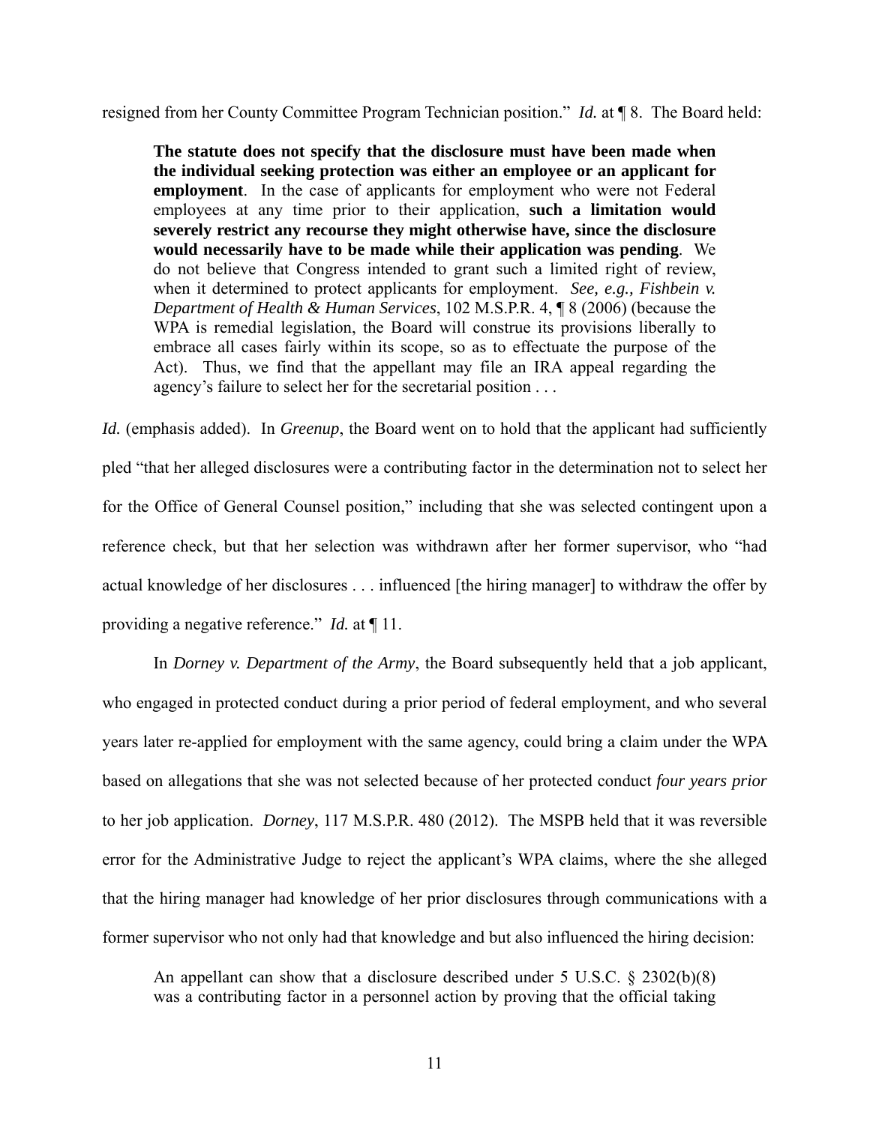resigned from her County Committee Program Technician position." *Id.* at ¶ 8. The Board held:

**The statute does not specify that the disclosure must have been made when the individual seeking protection was either an employee or an applicant for employment**. In the case of applicants for employment who were not Federal employees at any time prior to their application, **such a limitation would severely restrict any recourse they might otherwise have, since the disclosure would necessarily have to be made while their application was pending**. We do not believe that Congress intended to grant such a limited right of review, when it determined to protect applicants for employment. *See, e.g., Fishbein v. Department of Health & Human Services*, 102 M.S.P.R. 4, ¶ 8 (2006) (because the WPA is remedial legislation, the Board will construe its provisions liberally to embrace all cases fairly within its scope, so as to effectuate the purpose of the Act). Thus, we find that the appellant may file an IRA appeal regarding the agency's failure to select her for the secretarial position . . .

*Id.* (emphasis added). In *Greenup*, the Board went on to hold that the applicant had sufficiently pled "that her alleged disclosures were a contributing factor in the determination not to select her for the Office of General Counsel position," including that she was selected contingent upon a reference check, but that her selection was withdrawn after her former supervisor, who "had actual knowledge of her disclosures . . . influenced [the hiring manager] to withdraw the offer by providing a negative reference." *Id.* at ¶ 11.

 In *Dorney v. Department of the Army*, the Board subsequently held that a job applicant, who engaged in protected conduct during a prior period of federal employment, and who several years later re-applied for employment with the same agency, could bring a claim under the WPA based on allegations that she was not selected because of her protected conduct *four years prior* to her job application. *Dorney*, 117 M.S.P.R. 480 (2012). The MSPB held that it was reversible error for the Administrative Judge to reject the applicant's WPA claims, where the she alleged that the hiring manager had knowledge of her prior disclosures through communications with a former supervisor who not only had that knowledge and but also influenced the hiring decision:

An appellant can show that a disclosure described under 5 U.S.C. § 2302(b)(8) was a contributing factor in a personnel action by proving that the official taking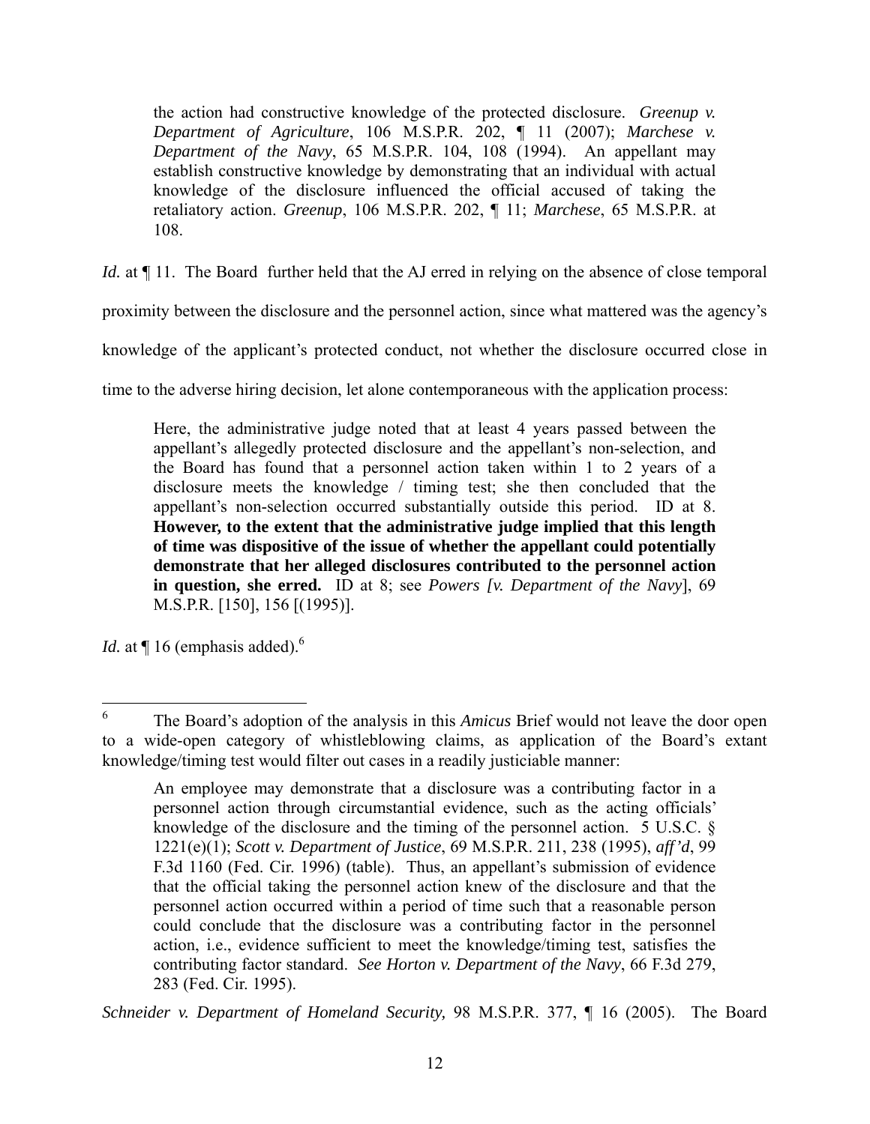the action had constructive knowledge of the protected disclosure. *Greenup v. Department of Agriculture*, 106 M.S.P.R. 202, ¶ 11 (2007); *Marchese v. Department of the Navy*, 65 M.S.P.R. 104, 108 (1994). An appellant may establish constructive knowledge by demonstrating that an individual with actual knowledge of the disclosure influenced the official accused of taking the retaliatory action. *Greenup*, 106 M.S.P.R. 202, ¶ 11; *Marchese*, 65 M.S.P.R. at 108.

*Id.* at  $\P$  11. The Board further held that the AJ erred in relying on the absence of close temporal

proximity between the disclosure and the personnel action, since what mattered was the agency's

knowledge of the applicant's protected conduct, not whether the disclosure occurred close in

time to the adverse hiring decision, let alone contemporaneous with the application process:

Here, the administrative judge noted that at least 4 years passed between the appellant's allegedly protected disclosure and the appellant's non-selection, and the Board has found that a personnel action taken within 1 to 2 years of a disclosure meets the knowledge / timing test; she then concluded that the appellant's non-selection occurred substantially outside this period. ID at 8. **However, to the extent that the administrative judge implied that this length of time was dispositive of the issue of whether the appellant could potentially demonstrate that her alleged disclosures contributed to the personnel action in question, she erred.** ID at 8; see *Powers [v. Department of the Navy*], 69 M.S.P.R. [150], 156 [(1995)].

*Id.* at  $\P$  16 (emphasis added).<sup>6</sup>

 $\overline{a}$ 

*Schneider v. Department of Homeland Security,* 98 M.S.P.R. 377, ¶ 16 (2005). The Board

<sup>6</sup> The Board's adoption of the analysis in this *Amicus* Brief would not leave the door open to a wide-open category of whistleblowing claims, as application of the Board's extant knowledge/timing test would filter out cases in a readily justiciable manner:

An employee may demonstrate that a disclosure was a contributing factor in a personnel action through circumstantial evidence, such as the acting officials' knowledge of the disclosure and the timing of the personnel action. 5 U.S.C. § 1221(e)(1); *Scott v. Department of Justice*, 69 M.S.P.R. 211, 238 (1995), *aff'd*, 99 F.3d 1160 (Fed. Cir. 1996) (table). Thus, an appellant's submission of evidence that the official taking the personnel action knew of the disclosure and that the personnel action occurred within a period of time such that a reasonable person could conclude that the disclosure was a contributing factor in the personnel action, i.e., evidence sufficient to meet the knowledge/timing test, satisfies the contributing factor standard. *See Horton v. Department of the Navy*, 66 F.3d 279, 283 (Fed. Cir. 1995).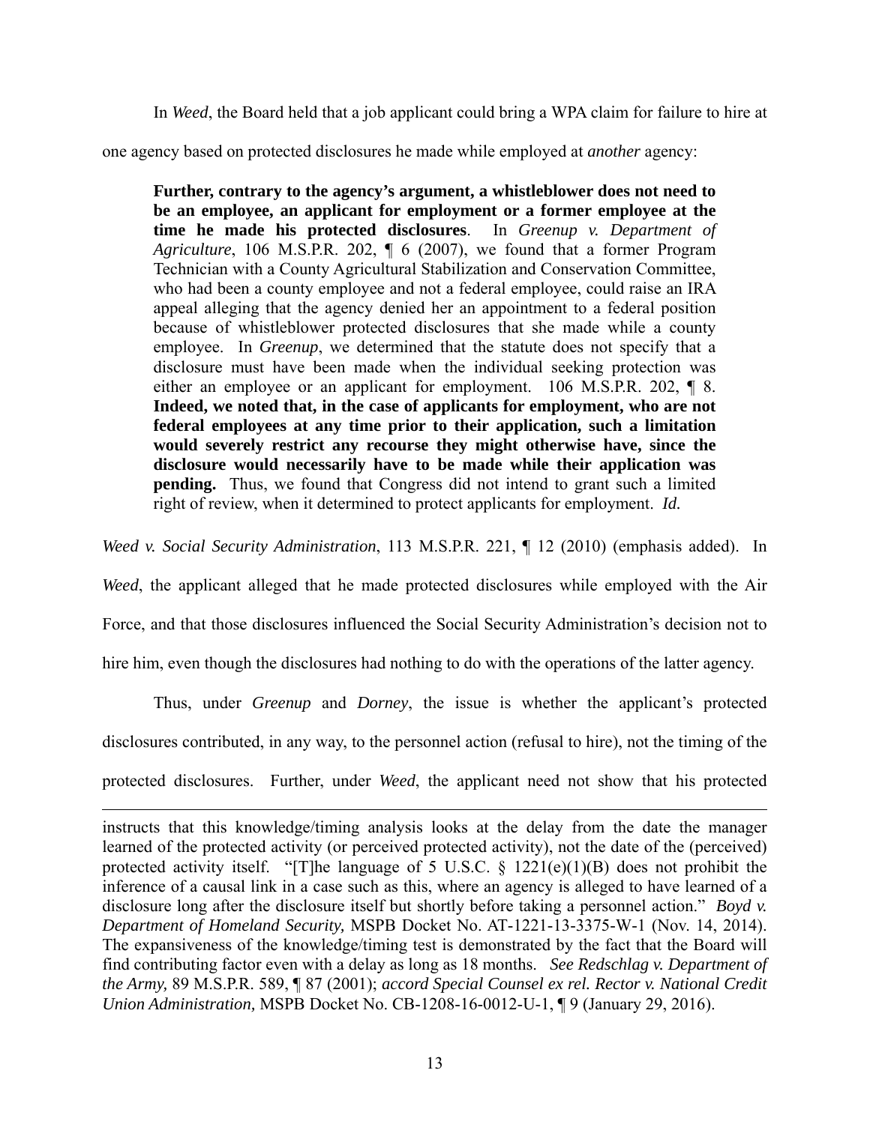In *Weed*, the Board held that a job applicant could bring a WPA claim for failure to hire at

one agency based on protected disclosures he made while employed at *another* agency:

**Further, contrary to the agency's argument, a whistleblower does not need to be an employee, an applicant for employment or a former employee at the time he made his protected disclosures**. In *Greenup v. Department of Agriculture*, 106 M.S.P.R. 202, ¶ 6 (2007), we found that a former Program Technician with a County Agricultural Stabilization and Conservation Committee, who had been a county employee and not a federal employee, could raise an IRA appeal alleging that the agency denied her an appointment to a federal position because of whistleblower protected disclosures that she made while a county employee. In *Greenup*, we determined that the statute does not specify that a disclosure must have been made when the individual seeking protection was either an employee or an applicant for employment. 106 M.S.P.R. 202, ¶ 8. **Indeed, we noted that, in the case of applicants for employment, who are not federal employees at any time prior to their application, such a limitation would severely restrict any recourse they might otherwise have, since the disclosure would necessarily have to be made while their application was pending.** Thus, we found that Congress did not intend to grant such a limited right of review, when it determined to protect applicants for employment. *Id.* 

*Weed v. Social Security Administration*, 113 M.S.P.R. 221, ¶ 12 (2010) (emphasis added). In

*Weed*, the applicant alleged that he made protected disclosures while employed with the Air

Force, and that those disclosures influenced the Social Security Administration's decision not to

hire him, even though the disclosures had nothing to do with the operations of the latter agency.

Thus, under *Greenup* and *Dorney*, the issue is whether the applicant's protected disclosures contributed, in any way, to the personnel action (refusal to hire), not the timing of the

protected disclosures. Further, under *Weed*, the applicant need not show that his protected

 $\overline{a}$ 

instructs that this knowledge/timing analysis looks at the delay from the date the manager learned of the protected activity (or perceived protected activity), not the date of the (perceived) protected activity itself. "[T]he language of 5 U.S.C.  $\S$  1221(e)(1)(B) does not prohibit the inference of a causal link in a case such as this, where an agency is alleged to have learned of a disclosure long after the disclosure itself but shortly before taking a personnel action." *Boyd v. Department of Homeland Security,* MSPB Docket No. AT-1221-13-3375-W-1 (Nov. 14, 2014). The expansiveness of the knowledge/timing test is demonstrated by the fact that the Board will find contributing factor even with a delay as long as 18 months. *See Redschlag v. Department of the Army,* 89 M.S.P.R. 589, ¶ 87 (2001); *accord Special Counsel ex rel. Rector v. National Credit Union Administration,* MSPB Docket No. CB-1208-16-0012-U-1, ¶ 9 (January 29, 2016).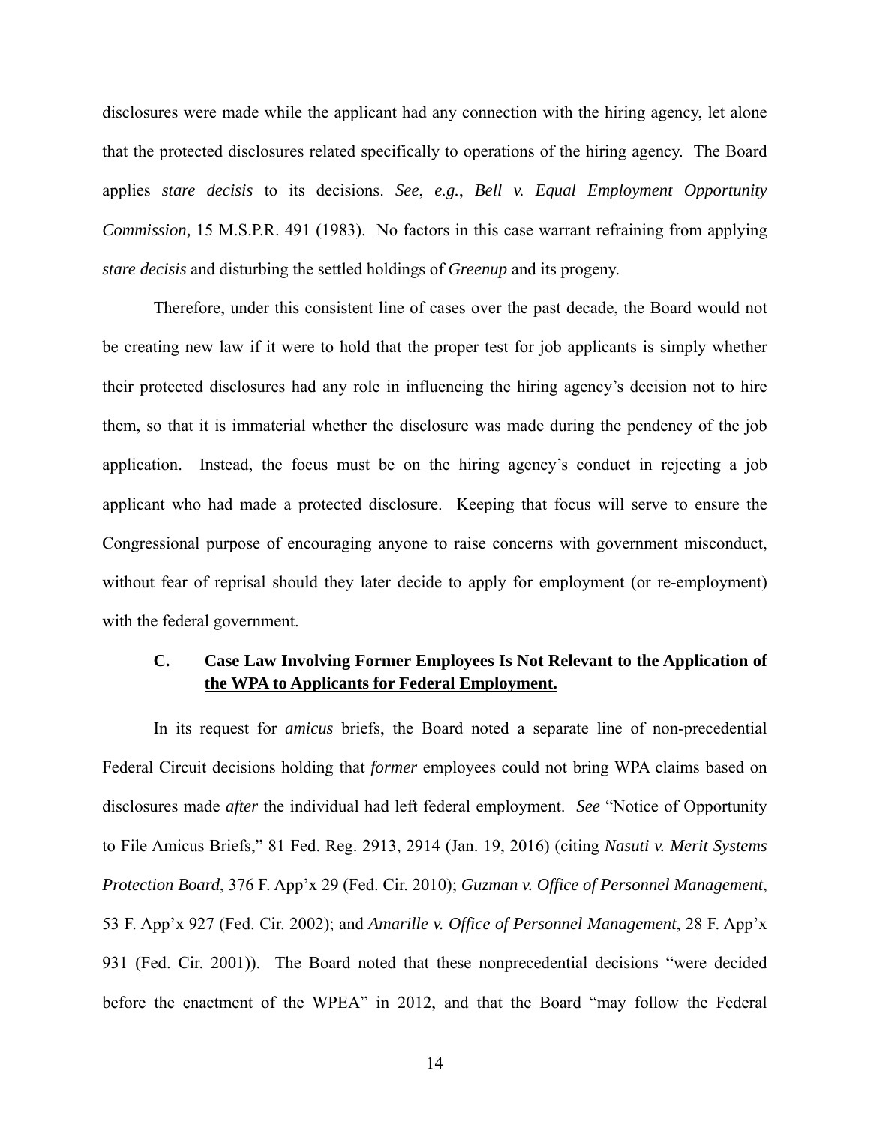disclosures were made while the applicant had any connection with the hiring agency, let alone that the protected disclosures related specifically to operations of the hiring agency. The Board applies *stare decisis* to its decisions. *See*, *e.g.*, *Bell v. Equal Employment Opportunity Commission,* 15 M.S.P.R. 491 (1983). No factors in this case warrant refraining from applying *stare decisis* and disturbing the settled holdings of *Greenup* and its progeny.

Therefore, under this consistent line of cases over the past decade, the Board would not be creating new law if it were to hold that the proper test for job applicants is simply whether their protected disclosures had any role in influencing the hiring agency's decision not to hire them, so that it is immaterial whether the disclosure was made during the pendency of the job application. Instead, the focus must be on the hiring agency's conduct in rejecting a job applicant who had made a protected disclosure. Keeping that focus will serve to ensure the Congressional purpose of encouraging anyone to raise concerns with government misconduct, without fear of reprisal should they later decide to apply for employment (or re-employment) with the federal government.

# **C. Case Law Involving Former Employees Is Not Relevant to the Application of the WPA to Applicants for Federal Employment.**

In its request for *amicus* briefs, the Board noted a separate line of non-precedential Federal Circuit decisions holding that *former* employees could not bring WPA claims based on disclosures made *after* the individual had left federal employment. *See* "Notice of Opportunity to File Amicus Briefs," 81 Fed. Reg. 2913, 2914 (Jan. 19, 2016) (citing *Nasuti v. Merit Systems Protection Board*, 376 F. App'x 29 (Fed. Cir. 2010); *Guzman v. Office of Personnel Management*, 53 F. App'x 927 (Fed. Cir. 2002); and *Amarille v. Office of Personnel Management*, 28 F. App'x 931 (Fed. Cir. 2001)). The Board noted that these nonprecedential decisions "were decided before the enactment of the WPEA" in 2012, and that the Board "may follow the Federal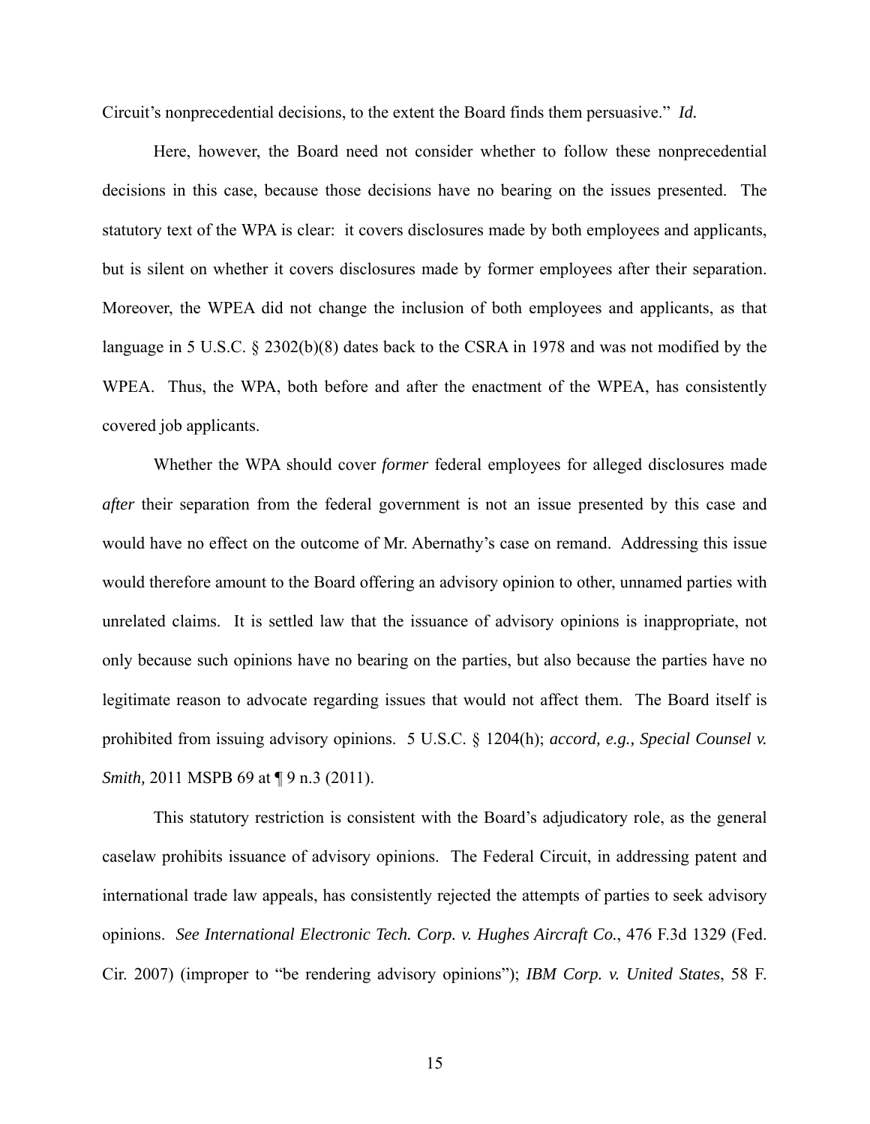Circuit's nonprecedential decisions, to the extent the Board finds them persuasive." *Id.* 

Here, however, the Board need not consider whether to follow these nonprecedential decisions in this case, because those decisions have no bearing on the issues presented. The statutory text of the WPA is clear: it covers disclosures made by both employees and applicants, but is silent on whether it covers disclosures made by former employees after their separation. Moreover, the WPEA did not change the inclusion of both employees and applicants, as that language in 5 U.S.C. § 2302(b)(8) dates back to the CSRA in 1978 and was not modified by the WPEA. Thus, the WPA, both before and after the enactment of the WPEA, has consistently covered job applicants.

Whether the WPA should cover *former* federal employees for alleged disclosures made *after* their separation from the federal government is not an issue presented by this case and would have no effect on the outcome of Mr. Abernathy's case on remand. Addressing this issue would therefore amount to the Board offering an advisory opinion to other, unnamed parties with unrelated claims. It is settled law that the issuance of advisory opinions is inappropriate, not only because such opinions have no bearing on the parties, but also because the parties have no legitimate reason to advocate regarding issues that would not affect them. The Board itself is prohibited from issuing advisory opinions. 5 U.S.C. § 1204(h); *accord, e.g., Special Counsel v. Smith, 2011 MSPB 69 at*  $\P$  9 n.3 (2011).

This statutory restriction is consistent with the Board's adjudicatory role, as the general caselaw prohibits issuance of advisory opinions. The Federal Circuit, in addressing patent and international trade law appeals, has consistently rejected the attempts of parties to seek advisory opinions. *See International Electronic Tech. Corp. v. Hughes Aircraft Co.*, 476 F.3d 1329 (Fed. Cir. 2007) (improper to "be rendering advisory opinions"); *IBM Corp. v. United States*, 58 F.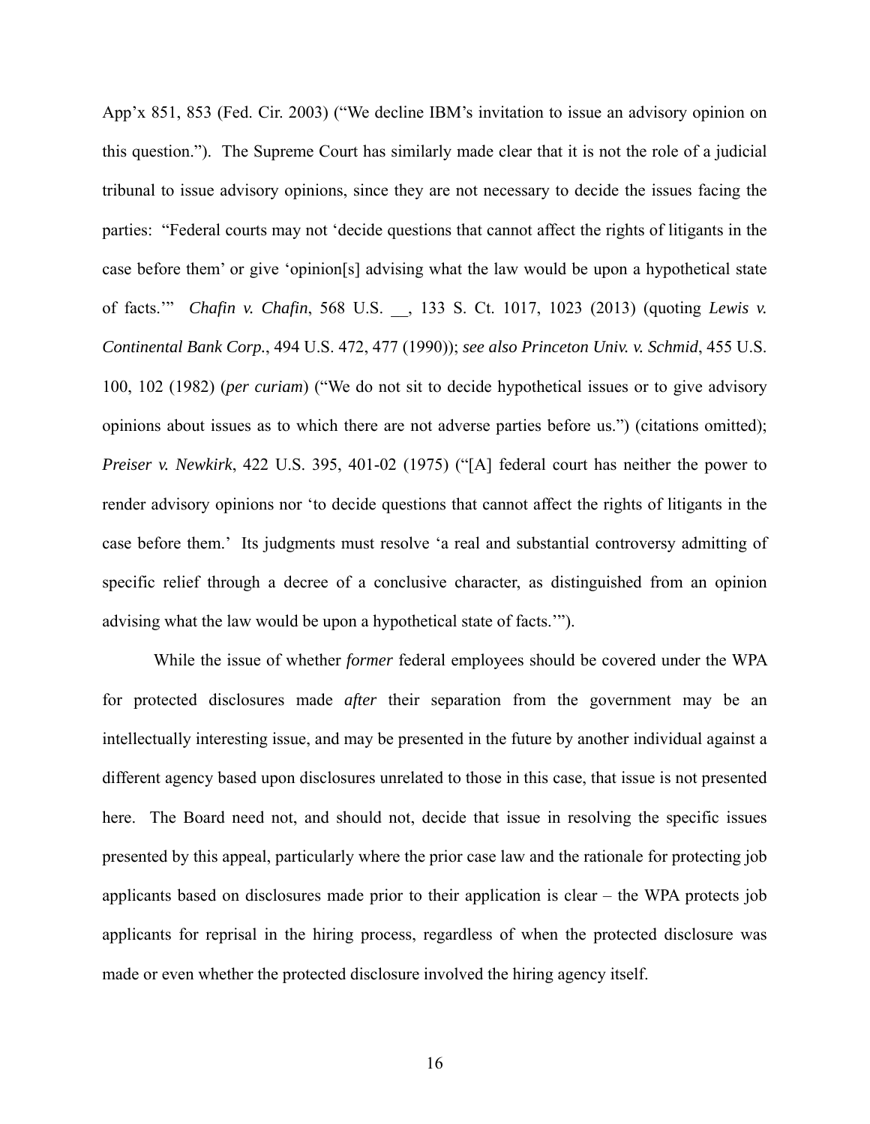App'x 851, 853 (Fed. Cir. 2003) ("We decline IBM's invitation to issue an advisory opinion on this question."). The Supreme Court has similarly made clear that it is not the role of a judicial tribunal to issue advisory opinions, since they are not necessary to decide the issues facing the parties: "Federal courts may not 'decide questions that cannot affect the rights of litigants in the case before them' or give 'opinion[s] advising what the law would be upon a hypothetical state of facts.'" *Chafin v. Chafin*, 568 U.S. \_\_, 133 S. Ct. 1017, 1023 (2013) (quoting *Lewis v. Continental Bank Corp.*, 494 U.S. 472, 477 (1990)); *see also Princeton Univ. v. Schmid*, 455 U.S. 100, 102 (1982) (*per curiam*) ("We do not sit to decide hypothetical issues or to give advisory opinions about issues as to which there are not adverse parties before us.") (citations omitted); *Preiser v. Newkirk*, 422 U.S. 395, 401-02 (1975) ("[A] federal court has neither the power to render advisory opinions nor 'to decide questions that cannot affect the rights of litigants in the case before them.' Its judgments must resolve 'a real and substantial controversy admitting of specific relief through a decree of a conclusive character, as distinguished from an opinion advising what the law would be upon a hypothetical state of facts.'").

 While the issue of whether *former* federal employees should be covered under the WPA for protected disclosures made *after* their separation from the government may be an intellectually interesting issue, and may be presented in the future by another individual against a different agency based upon disclosures unrelated to those in this case, that issue is not presented here. The Board need not, and should not, decide that issue in resolving the specific issues presented by this appeal, particularly where the prior case law and the rationale for protecting job applicants based on disclosures made prior to their application is clear – the WPA protects job applicants for reprisal in the hiring process, regardless of when the protected disclosure was made or even whether the protected disclosure involved the hiring agency itself.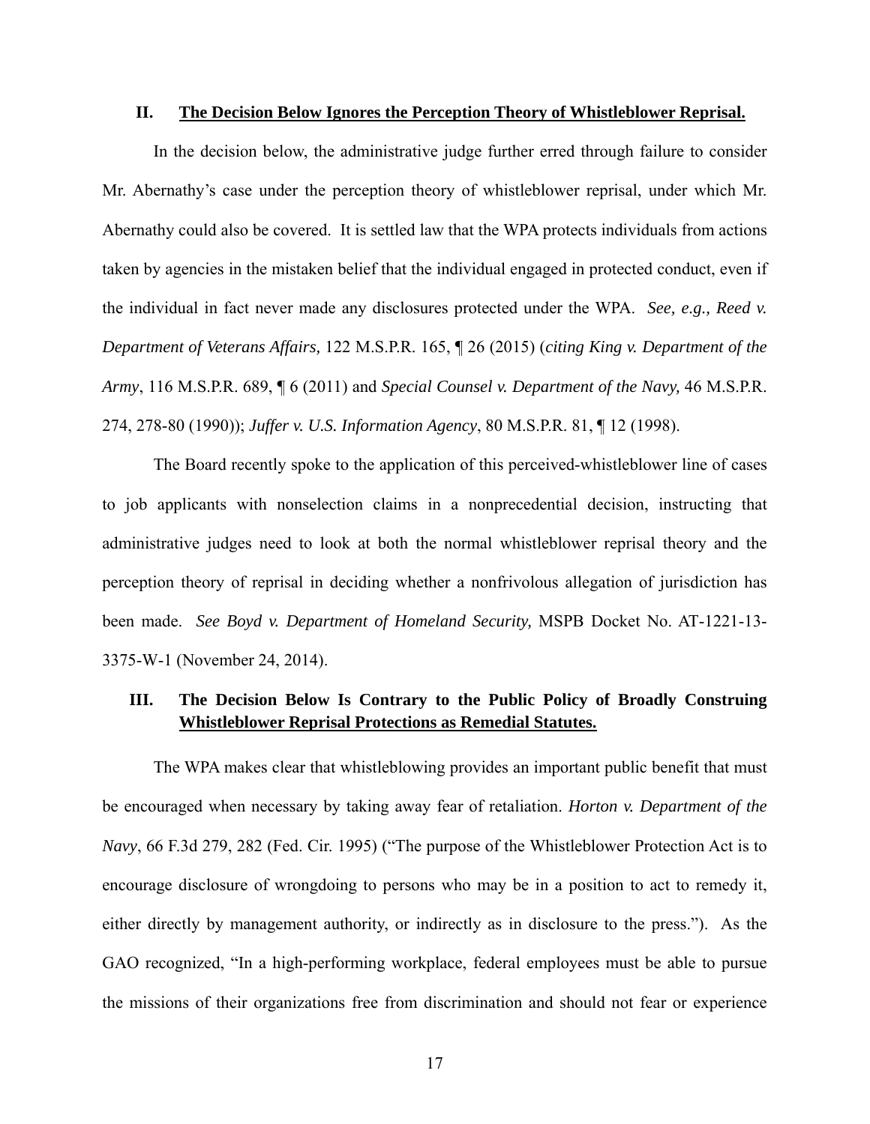#### **II. The Decision Below Ignores the Perception Theory of Whistleblower Reprisal.**

In the decision below, the administrative judge further erred through failure to consider Mr. Abernathy's case under the perception theory of whistleblower reprisal, under which Mr. Abernathy could also be covered. It is settled law that the WPA protects individuals from actions taken by agencies in the mistaken belief that the individual engaged in protected conduct, even if the individual in fact never made any disclosures protected under the WPA. *See, e.g., Reed v. Department of Veterans Affairs,* 122 M.S.P.R. 165, ¶ 26 (2015) (*citing King v. Department of the Army*, 116 M.S.P.R. 689, ¶ 6 (2011) and *Special Counsel v. Department of the Navy,* 46 M.S.P.R. 274, 278-80 (1990)); *Juffer v. U.S. Information Agency*, 80 M.S.P.R. 81, ¶ 12 (1998).

The Board recently spoke to the application of this perceived-whistleblower line of cases to job applicants with nonselection claims in a nonprecedential decision, instructing that administrative judges need to look at both the normal whistleblower reprisal theory and the perception theory of reprisal in deciding whether a nonfrivolous allegation of jurisdiction has been made. *See Boyd v. Department of Homeland Security,* MSPB Docket No. AT-1221-13- 3375-W-1 (November 24, 2014).

## **III. The Decision Below Is Contrary to the Public Policy of Broadly Construing Whistleblower Reprisal Protections as Remedial Statutes.**

 The WPA makes clear that whistleblowing provides an important public benefit that must be encouraged when necessary by taking away fear of retaliation. *Horton v. Department of the Navy*, 66 F.3d 279, 282 (Fed. Cir. 1995) ("The purpose of the Whistleblower Protection Act is to encourage disclosure of wrongdoing to persons who may be in a position to act to remedy it, either directly by management authority, or indirectly as in disclosure to the press."). As the GAO recognized, "In a high-performing workplace, federal employees must be able to pursue the missions of their organizations free from discrimination and should not fear or experience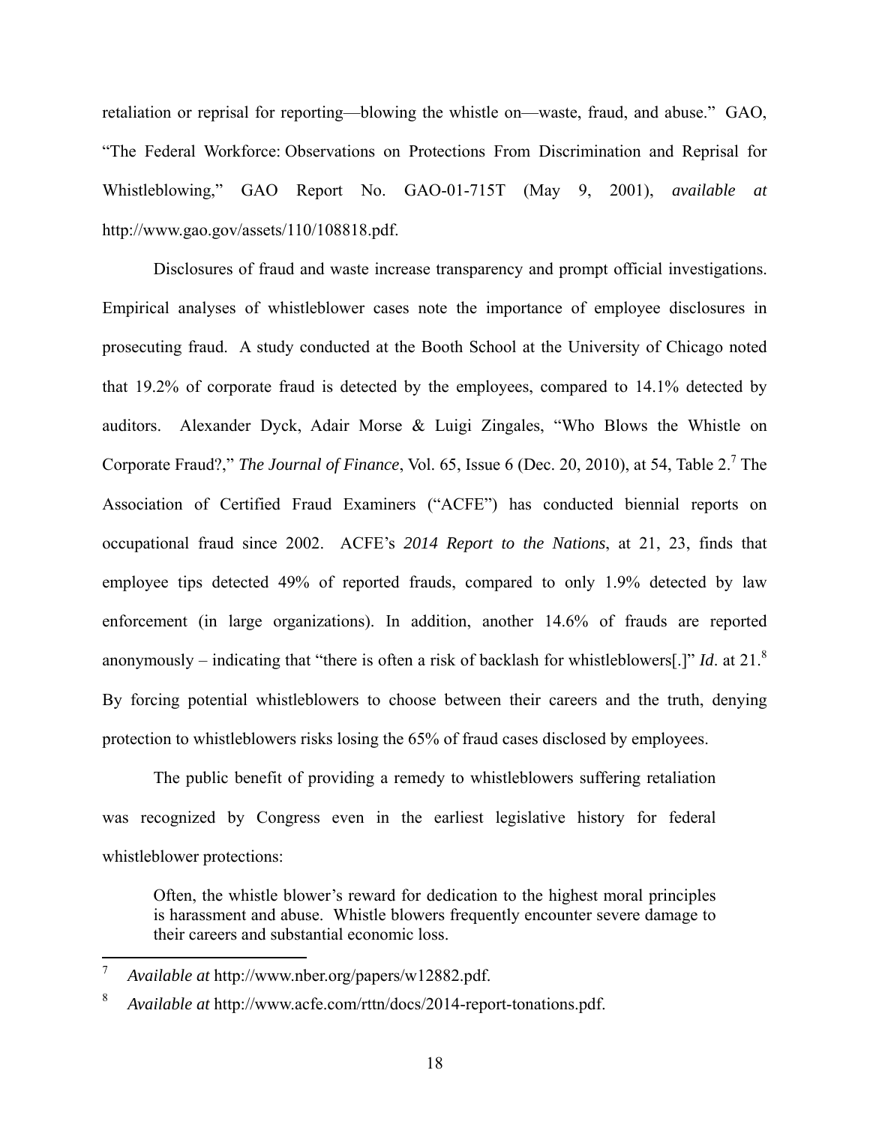retaliation or reprisal for reporting—blowing the whistle on—waste, fraud, and abuse." GAO, "The Federal Workforce: Observations on Protections From Discrimination and Reprisal for Whistleblowing," GAO Report No. GAO-01-715T (May 9, 2001), *available at*  http://www.gao.gov/assets/110/108818.pdf.

 Disclosures of fraud and waste increase transparency and prompt official investigations. Empirical analyses of whistleblower cases note the importance of employee disclosures in prosecuting fraud. A study conducted at the Booth School at the University of Chicago noted that 19.2% of corporate fraud is detected by the employees, compared to 14.1% detected by auditors. Alexander Dyck, Adair Morse & Luigi Zingales, "Who Blows the Whistle on Corporate Fraud?," *The Journal of Finance*, Vol. 65, Issue 6 (Dec. 20, 2010), at 54, Table 2.<sup>7</sup> The Association of Certified Fraud Examiners ("ACFE") has conducted biennial reports on occupational fraud since 2002. ACFE's *2014 Report to the Nations*, at 21, 23, finds that employee tips detected 49% of reported frauds, compared to only 1.9% detected by law enforcement (in large organizations). In addition, another 14.6% of frauds are reported anonymously – indicating that "there is often a risk of backlash for whistleblowers[.]" *Id*. at 21.<sup>8</sup> By forcing potential whistleblowers to choose between their careers and the truth, denying protection to whistleblowers risks losing the 65% of fraud cases disclosed by employees.

 The public benefit of providing a remedy to whistleblowers suffering retaliation was recognized by Congress even in the earliest legislative history for federal whistleblower protections:

Often, the whistle blower's reward for dedication to the highest moral principles is harassment and abuse. Whistle blowers frequently encounter severe damage to their careers and substantial economic loss.

1

<sup>7</sup> *Available at* http://www.nber.org/papers/w12882.pdf.

<sup>8</sup> *Available at* http://www.acfe.com/rttn/docs/2014-report-tonations.pdf.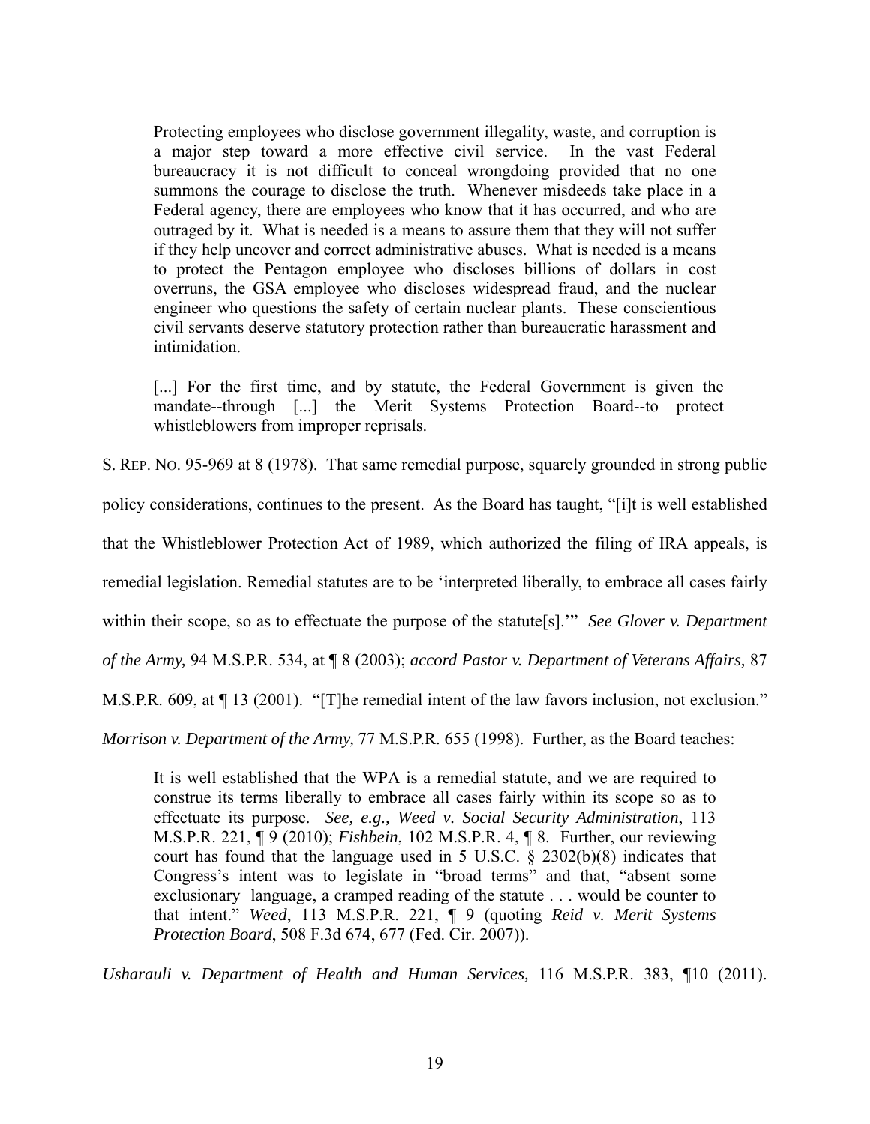Protecting employees who disclose government illegality, waste, and corruption is a major step toward a more effective civil service. In the vast Federal bureaucracy it is not difficult to conceal wrongdoing provided that no one summons the courage to disclose the truth. Whenever misdeeds take place in a Federal agency, there are employees who know that it has occurred, and who are outraged by it. What is needed is a means to assure them that they will not suffer if they help uncover and correct administrative abuses. What is needed is a means to protect the Pentagon employee who discloses billions of dollars in cost overruns, the GSA employee who discloses widespread fraud, and the nuclear engineer who questions the safety of certain nuclear plants. These conscientious civil servants deserve statutory protection rather than bureaucratic harassment and intimidation.

[...] For the first time, and by statute, the Federal Government is given the mandate--through [...] the Merit Systems Protection Board--to protect whistleblowers from improper reprisals.

S. REP. NO. 95-969 at 8 (1978). That same remedial purpose, squarely grounded in strong public

policy considerations, continues to the present. As the Board has taught, "[i]t is well established

that the Whistleblower Protection Act of 1989, which authorized the filing of IRA appeals, is

remedial legislation. Remedial statutes are to be 'interpreted liberally, to embrace all cases fairly

within their scope, so as to effectuate the purpose of the statute[s].'" *See Glover v. Department* 

*of the Army,* 94 M.S.P.R. 534, at ¶ 8 (2003); *accord Pastor v. Department of Veterans Affairs,* 87

M.S.P.R. 609, at ¶ 13 (2001). "[T]he remedial intent of the law favors inclusion, not exclusion."

*Morrison v. Department of the Army,* 77 M.S.P.R. 655 (1998). Further, as the Board teaches:

It is well established that the WPA is a remedial statute, and we are required to construe its terms liberally to embrace all cases fairly within its scope so as to effectuate its purpose. *See, e.g., Weed v. Social Security Administration*, 113 M.S.P.R. 221, ¶ 9 (2010); *Fishbein*, 102 M.S.P.R. 4, ¶ 8. Further, our reviewing court has found that the language used in 5 U.S.C. § 2302(b)(8) indicates that Congress's intent was to legislate in "broad terms" and that, "absent some exclusionary language, a cramped reading of the statute . . . would be counter to that intent." *Weed*, 113 M.S.P.R. 221, ¶ 9 (quoting *Reid v. Merit Systems Protection Board*, 508 F.3d 674, 677 (Fed. Cir. 2007)).

*Usharauli v. Department of Health and Human Services,* 116 M.S.P.R. 383, ¶10 (2011).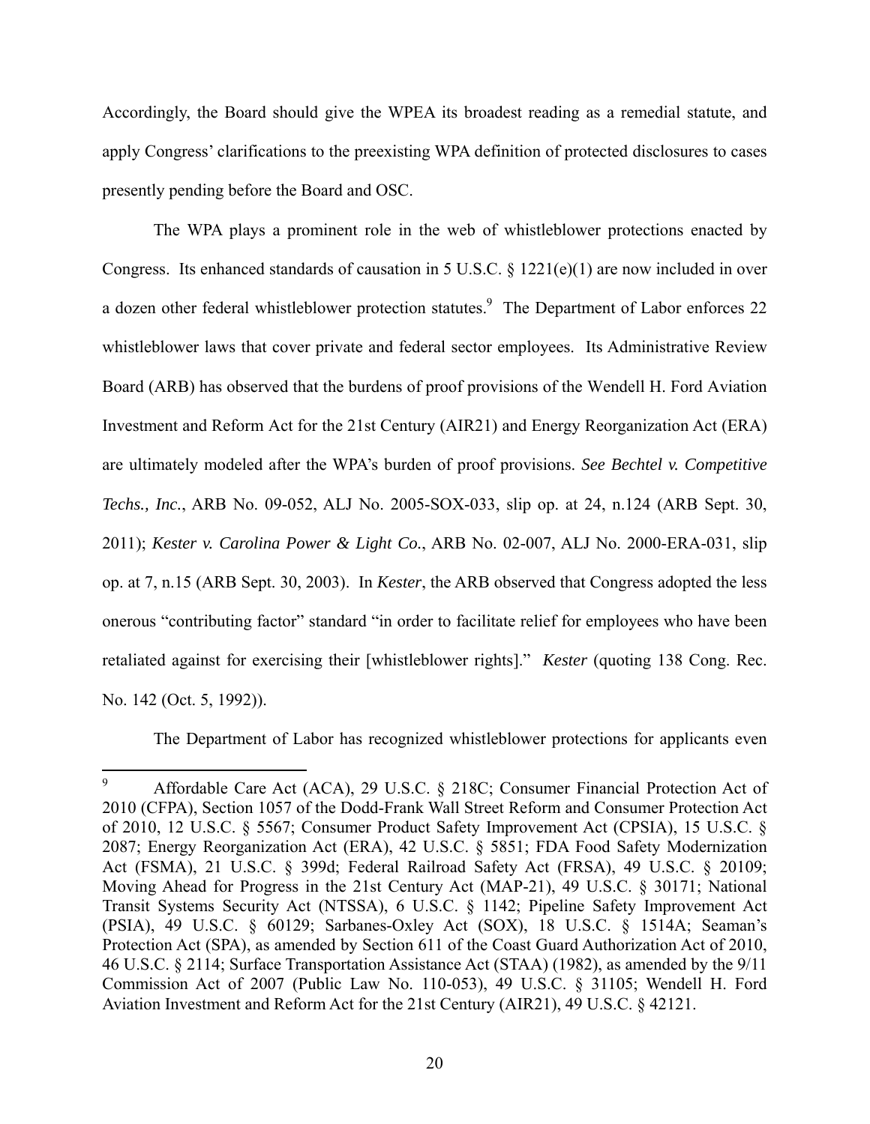Accordingly, the Board should give the WPEA its broadest reading as a remedial statute, and apply Congress' clarifications to the preexisting WPA definition of protected disclosures to cases presently pending before the Board and OSC.

The WPA plays a prominent role in the web of whistleblower protections enacted by Congress. Its enhanced standards of causation in 5 U.S.C. § 1221(e)(1) are now included in over a dozen other federal whistleblower protection statutes.<sup>9</sup> The Department of Labor enforces 22 whistleblower laws that cover private and federal sector employees. Its Administrative Review Board (ARB) has observed that the burdens of proof provisions of the Wendell H. Ford Aviation Investment and Reform Act for the 21st Century (AIR21) and Energy Reorganization Act (ERA) are ultimately modeled after the WPA's burden of proof provisions. *See Bechtel v. Competitive Techs., Inc.*, ARB No. 09-052, ALJ No. 2005-SOX-033, slip op. at 24, n.124 (ARB Sept. 30, 2011); *Kester v. Carolina Power & Light Co.*, ARB No. 02-007, ALJ No. 2000-ERA-031, slip op. at 7, n.15 (ARB Sept. 30, 2003). In *Kester*, the ARB observed that Congress adopted the less onerous "contributing factor" standard "in order to facilitate relief for employees who have been retaliated against for exercising their [whistleblower rights]." *Kester* (quoting 138 Cong. Rec. No. 142 (Oct. 5, 1992)).

The Department of Labor has recognized whistleblower protections for applicants even

 $\overline{a}$ 

<sup>9</sup> Affordable Care Act (ACA), 29 U.S.C. § 218C; Consumer Financial Protection Act of 2010 (CFPA), Section 1057 of the Dodd-Frank Wall Street Reform and Consumer Protection Act of 2010, 12 U.S.C. § 5567; Consumer Product Safety Improvement Act (CPSIA), 15 U.S.C. § 2087; Energy Reorganization Act (ERA), 42 U.S.C. § 5851; FDA Food Safety Modernization Act (FSMA), 21 U.S.C. § 399d; Federal Railroad Safety Act (FRSA), 49 U.S.C. § 20109; Moving Ahead for Progress in the 21st Century Act (MAP-21), 49 U.S.C. § 30171; National Transit Systems Security Act (NTSSA), 6 U.S.C. § 1142; Pipeline Safety Improvement Act (PSIA), 49 U.S.C. § 60129; Sarbanes-Oxley Act (SOX), 18 U.S.C. § 1514A; Seaman's Protection Act (SPA), as amended by Section 611 of the Coast Guard Authorization Act of 2010, 46 U.S.C. § 2114; Surface Transportation Assistance Act (STAA) (1982), as amended by the 9/11 Commission Act of 2007 (Public Law No. 110-053), 49 U.S.C. § 31105; Wendell H. Ford Aviation Investment and Reform Act for the 21st Century (AIR21), 49 U.S.C. § 42121.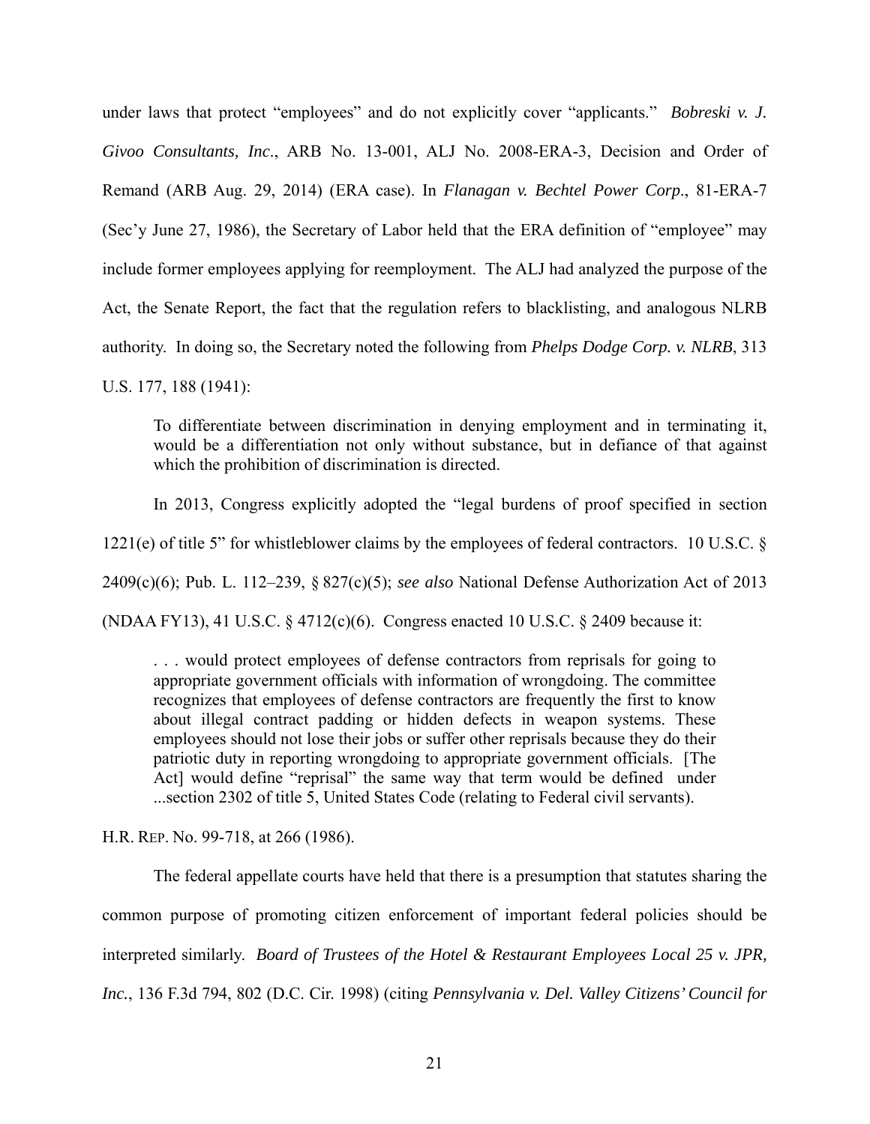under laws that protect "employees" and do not explicitly cover "applicants." *Bobreski v. J. Givoo Consultants, Inc*., ARB No. 13-001, ALJ No. 2008-ERA-3, Decision and Order of Remand (ARB Aug. 29, 2014) (ERA case). In *Flanagan v. Bechtel Power Corp*., 81-ERA-7 (Sec'y June 27, 1986), the Secretary of Labor held that the ERA definition of "employee" may include former employees applying for reemployment. The ALJ had analyzed the purpose of the Act, the Senate Report, the fact that the regulation refers to blacklisting, and analogous NLRB authority. In doing so, the Secretary noted the following from *Phelps Dodge Corp. v. NLRB*, 313 U.S. 177, 188 (1941):

To differentiate between discrimination in denying employment and in terminating it, would be a differentiation not only without substance, but in defiance of that against which the prohibition of discrimination is directed.

 In 2013, Congress explicitly adopted the "legal burdens of proof specified in section 1221(e) of title 5" for whistleblower claims by the employees of federal contractors. 10 U.S.C. § 2409(c)(6); Pub. L. 112–239, § 827(c)(5); *see also* National Defense Authorization Act of 2013 (NDAA FY13), 41 U.S.C. § 4712(c)(6). Congress enacted 10 U.S.C. § 2409 because it:

. . . would protect employees of defense contractors from reprisals for going to appropriate government officials with information of wrongdoing. The committee recognizes that employees of defense contractors are frequently the first to know about illegal contract padding or hidden defects in weapon systems. These employees should not lose their jobs or suffer other reprisals because they do their patriotic duty in reporting wrongdoing to appropriate government officials. [The Act] would define "reprisal" the same way that term would be defined under ...section 2302 of title 5, United States Code (relating to Federal civil servants).

H.R. REP. No. 99-718, at 266 (1986).

 The federal appellate courts have held that there is a presumption that statutes sharing the common purpose of promoting citizen enforcement of important federal policies should be interpreted similarly. *Board of Trustees of the Hotel & Restaurant Employees Local 25 v. JPR, Inc.*, 136 F.3d 794, 802 (D.C. Cir. 1998) (citing *Pennsylvania v. Del. Valley Citizens' Council for*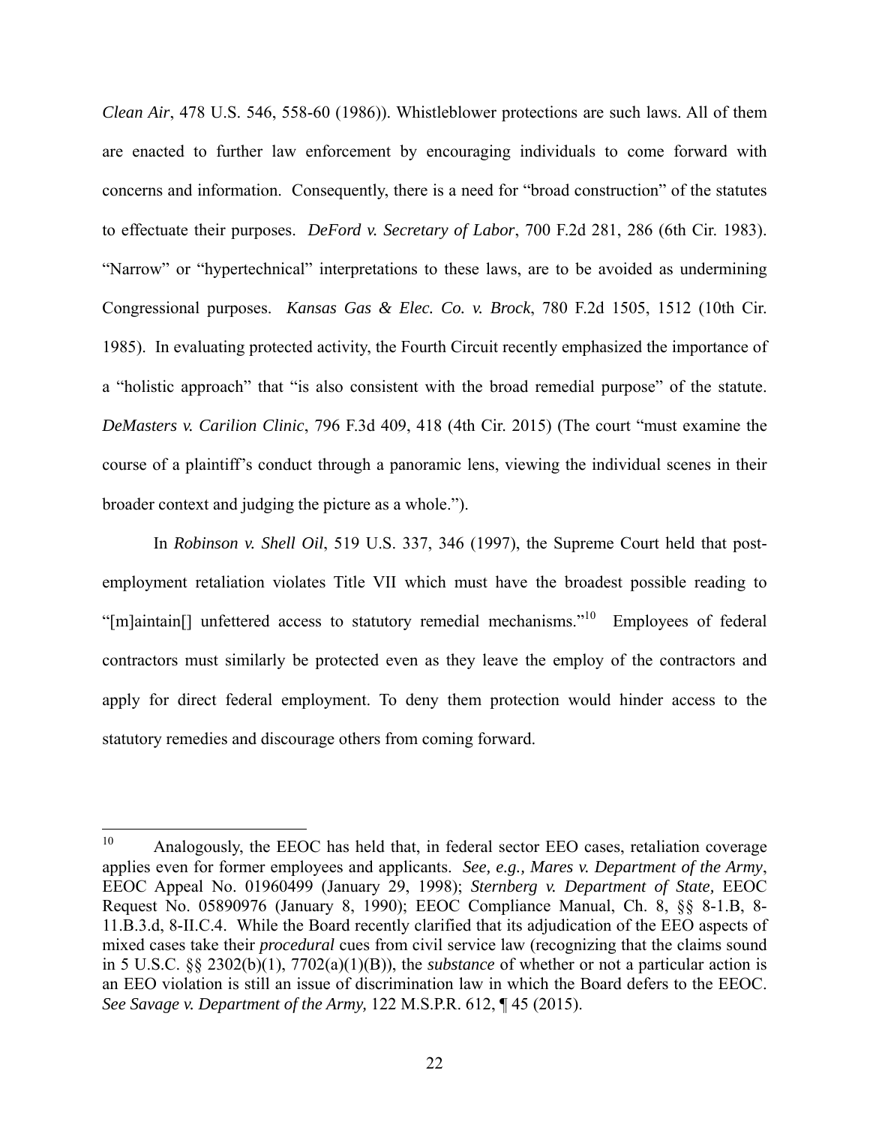*Clean Air*, 478 U.S. 546, 558-60 (1986)). Whistleblower protections are such laws. All of them are enacted to further law enforcement by encouraging individuals to come forward with concerns and information. Consequently, there is a need for "broad construction" of the statutes to effectuate their purposes. *DeFord v. Secretary of Labor*, 700 F.2d 281, 286 (6th Cir. 1983). "Narrow" or "hypertechnical" interpretations to these laws, are to be avoided as undermining Congressional purposes. *Kansas Gas & Elec. Co. v. Brock*, 780 F.2d 1505, 1512 (10th Cir. 1985). In evaluating protected activity, the Fourth Circuit recently emphasized the importance of a "holistic approach" that "is also consistent with the broad remedial purpose" of the statute. *DeMasters v. Carilion Clinic*, 796 F.3d 409, 418 (4th Cir. 2015) (The court "must examine the course of a plaintiff's conduct through a panoramic lens, viewing the individual scenes in their broader context and judging the picture as a whole.").

In *Robinson v. Shell Oil*, 519 U.S. 337, 346 (1997), the Supreme Court held that postemployment retaliation violates Title VII which must have the broadest possible reading to "[m]aintain[] unfettered access to statutory remedial mechanisms."10 Employees of federal contractors must similarly be protected even as they leave the employ of the contractors and apply for direct federal employment. To deny them protection would hinder access to the statutory remedies and discourage others from coming forward.

 $10\,$ Analogously, the EEOC has held that, in federal sector EEO cases, retaliation coverage applies even for former employees and applicants. *See, e.g., Mares v. Department of the Army*, EEOC Appeal No. 01960499 (January 29, 1998); *Sternberg v. Department of State,* EEOC Request No. 05890976 (January 8, 1990); EEOC Compliance Manual, Ch. 8, §§ 8-1.B, 8- 11.B.3.d, 8-II.C.4. While the Board recently clarified that its adjudication of the EEO aspects of mixed cases take their *procedural* cues from civil service law (recognizing that the claims sound in 5 U.S.C. §§ 2302(b)(1), 7702(a)(1)(B)), the *substance* of whether or not a particular action is an EEO violation is still an issue of discrimination law in which the Board defers to the EEOC. *See Savage v. Department of the Army,* 122 M.S.P.R. 612, ¶ 45 (2015).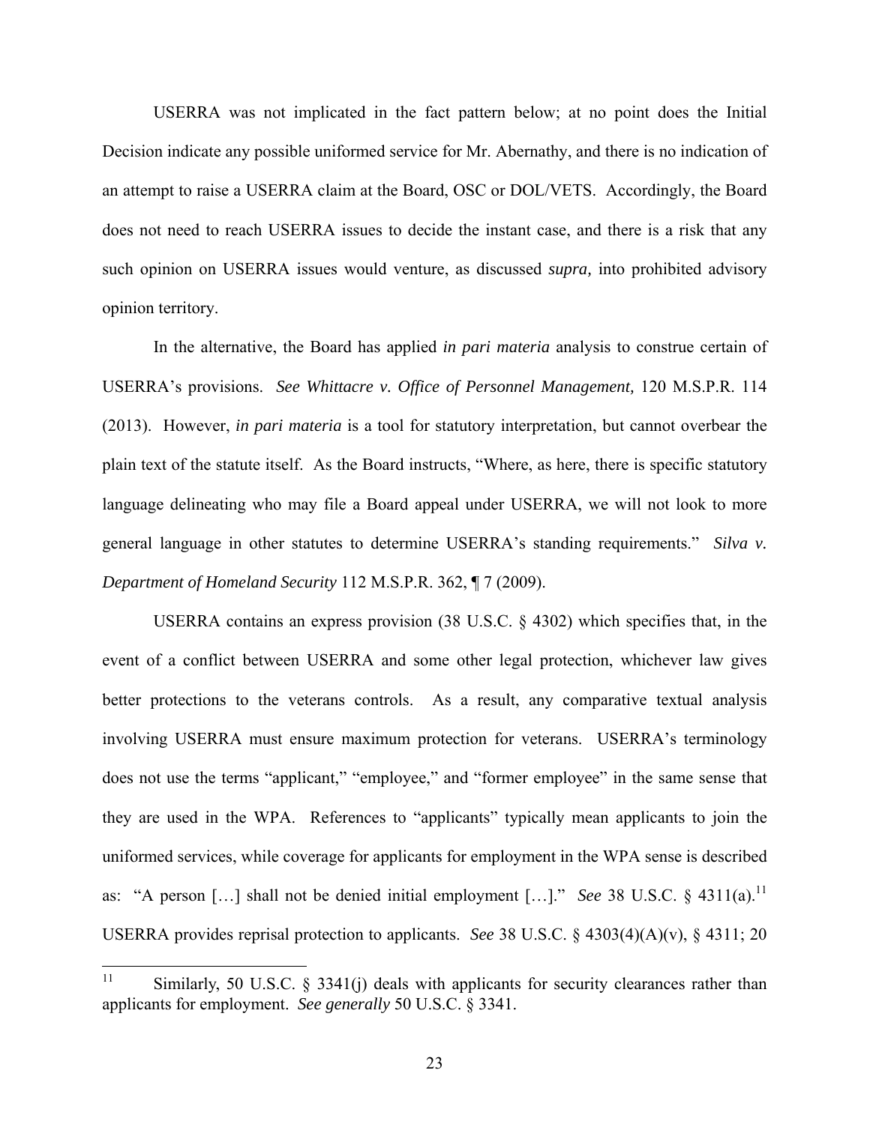USERRA was not implicated in the fact pattern below; at no point does the Initial Decision indicate any possible uniformed service for Mr. Abernathy, and there is no indication of an attempt to raise a USERRA claim at the Board, OSC or DOL/VETS. Accordingly, the Board does not need to reach USERRA issues to decide the instant case, and there is a risk that any such opinion on USERRA issues would venture, as discussed *supra,* into prohibited advisory opinion territory.

In the alternative, the Board has applied *in pari materia* analysis to construe certain of USERRA's provisions. *See Whittacre v. Office of Personnel Management,* 120 M.S.P.R. 114 (2013). However, *in pari materia* is a tool for statutory interpretation, but cannot overbear the plain text of the statute itself. As the Board instructs, "Where, as here, there is specific statutory language delineating who may file a Board appeal under USERRA, we will not look to more general language in other statutes to determine USERRA's standing requirements." *Silva v. Department of Homeland Security* 112 M.S.P.R. 362, ¶ 7 (2009).

USERRA contains an express provision (38 U.S.C. § 4302) which specifies that, in the event of a conflict between USERRA and some other legal protection, whichever law gives better protections to the veterans controls. As a result, any comparative textual analysis involving USERRA must ensure maximum protection for veterans. USERRA's terminology does not use the terms "applicant," "employee," and "former employee" in the same sense that they are used in the WPA. References to "applicants" typically mean applicants to join the uniformed services, while coverage for applicants for employment in the WPA sense is described as: "A person [...] shall not be denied initial employment [...]." *See* 38 U.S.C. § 4311(a).<sup>11</sup> USERRA provides reprisal protection to applicants. *See* 38 U.S.C. § 4303(4)(A)(v), § 4311; 20

 $11$ Similarly, 50 U.S.C.  $\S$  3341(j) deals with applicants for security clearances rather than applicants for employment. *See generally* 50 U.S.C. § 3341.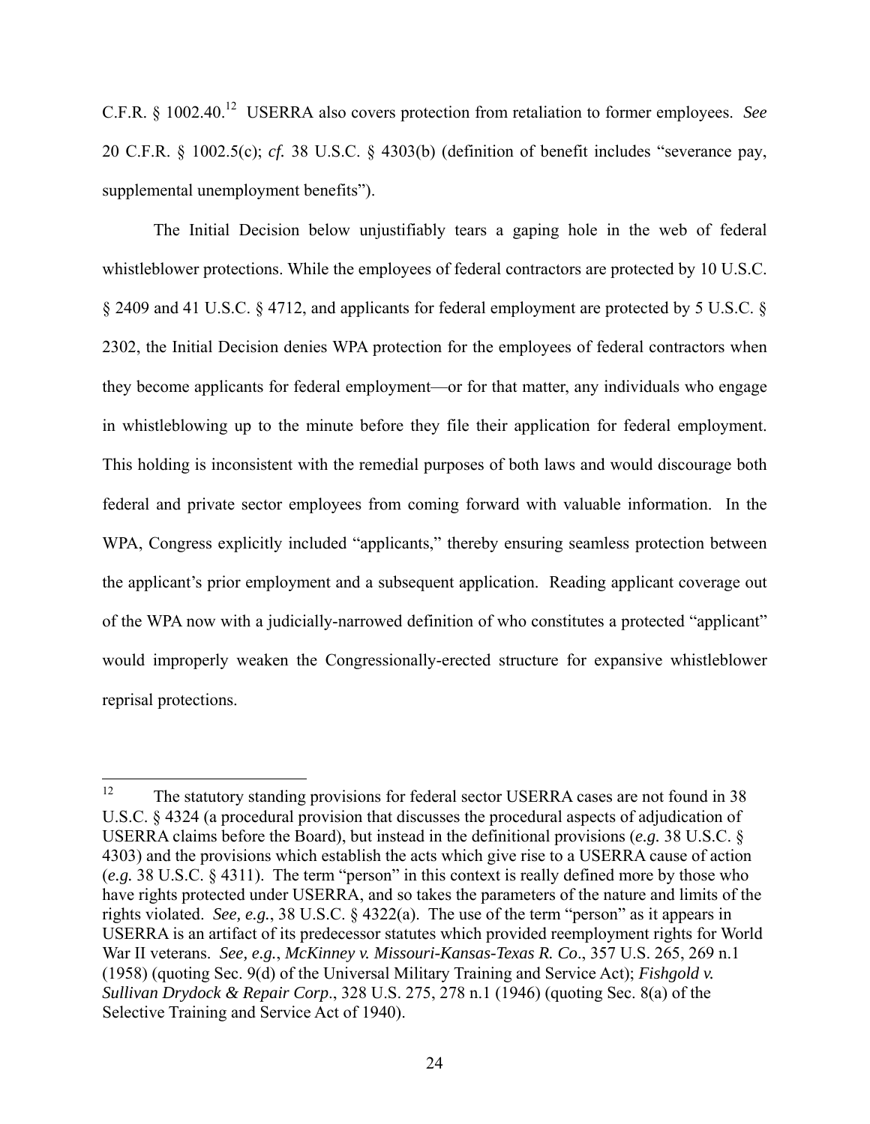C.F.R. § 1002.40.12 USERRA also covers protection from retaliation to former employees. *See*  20 C.F.R. § 1002.5(c); *cf.* 38 U.S.C. § 4303(b) (definition of benefit includes "severance pay, supplemental unemployment benefits").

 The Initial Decision below unjustifiably tears a gaping hole in the web of federal whistleblower protections. While the employees of federal contractors are protected by 10 U.S.C. § 2409 and 41 U.S.C. § 4712, and applicants for federal employment are protected by 5 U.S.C. § 2302, the Initial Decision denies WPA protection for the employees of federal contractors when they become applicants for federal employment—or for that matter, any individuals who engage in whistleblowing up to the minute before they file their application for federal employment. This holding is inconsistent with the remedial purposes of both laws and would discourage both federal and private sector employees from coming forward with valuable information. In the WPA, Congress explicitly included "applicants," thereby ensuring seamless protection between the applicant's prior employment and a subsequent application. Reading applicant coverage out of the WPA now with a judicially-narrowed definition of who constitutes a protected "applicant" would improperly weaken the Congressionally-erected structure for expansive whistleblower reprisal protections.

<sup>12</sup> The statutory standing provisions for federal sector USERRA cases are not found in 38 U.S.C. § 4324 (a procedural provision that discusses the procedural aspects of adjudication of USERRA claims before the Board), but instead in the definitional provisions (*e.g.* 38 U.S.C. § 4303) and the provisions which establish the acts which give rise to a USERRA cause of action (*e.g.* 38 U.S.C. § 4311). The term "person" in this context is really defined more by those who have rights protected under USERRA, and so takes the parameters of the nature and limits of the rights violated. *See, e.g.*, 38 U.S.C. § 4322(a). The use of the term "person" as it appears in USERRA is an artifact of its predecessor statutes which provided reemployment rights for World War II veterans. *See, e.g.*, *McKinney v. Missouri-Kansas-Texas R. Co*., 357 U.S. 265, 269 n.1 (1958) (quoting Sec. 9(d) of the Universal Military Training and Service Act); *Fishgold v. Sullivan Drydock & Repair Corp*., 328 U.S. 275, 278 n.1 (1946) (quoting Sec. 8(a) of the Selective Training and Service Act of 1940).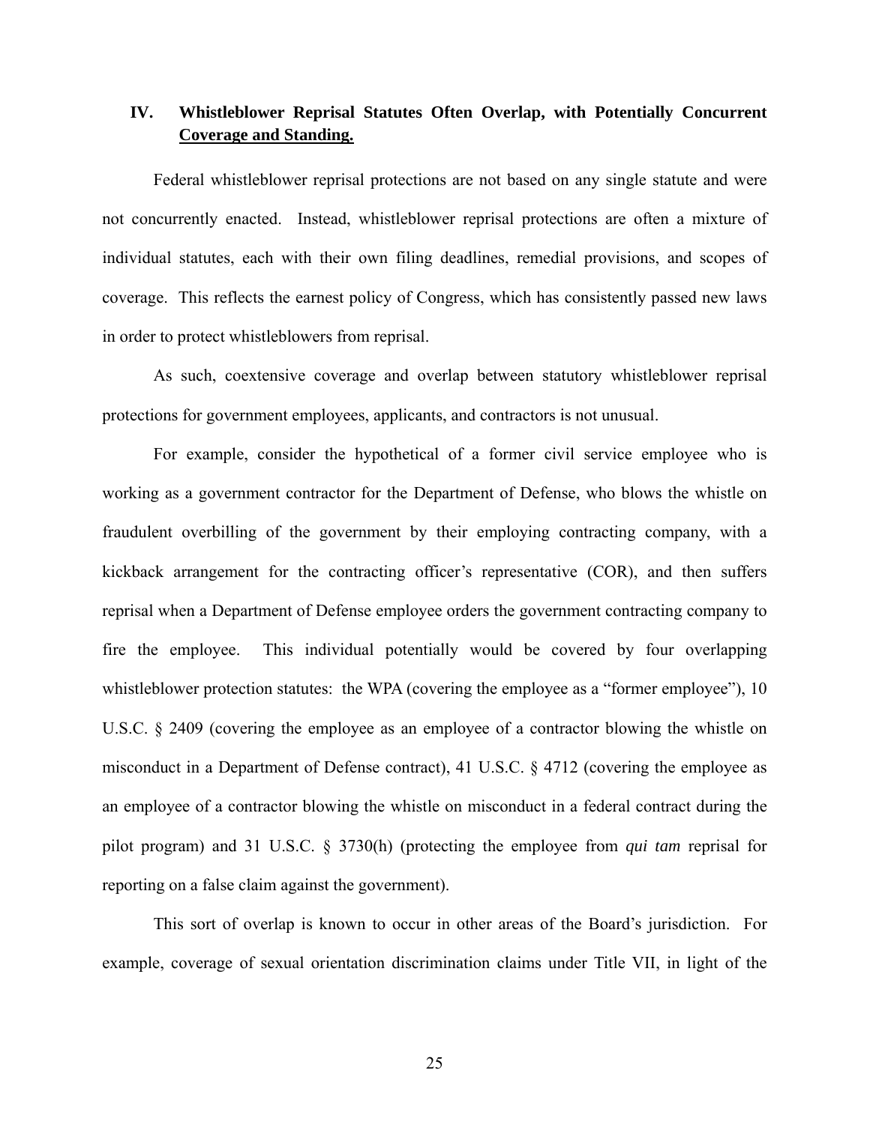# **IV. Whistleblower Reprisal Statutes Often Overlap, with Potentially Concurrent Coverage and Standing.**

Federal whistleblower reprisal protections are not based on any single statute and were not concurrently enacted. Instead, whistleblower reprisal protections are often a mixture of individual statutes, each with their own filing deadlines, remedial provisions, and scopes of coverage. This reflects the earnest policy of Congress, which has consistently passed new laws in order to protect whistleblowers from reprisal.

As such, coextensive coverage and overlap between statutory whistleblower reprisal protections for government employees, applicants, and contractors is not unusual.

For example, consider the hypothetical of a former civil service employee who is working as a government contractor for the Department of Defense, who blows the whistle on fraudulent overbilling of the government by their employing contracting company, with a kickback arrangement for the contracting officer's representative (COR), and then suffers reprisal when a Department of Defense employee orders the government contracting company to fire the employee. This individual potentially would be covered by four overlapping whistleblower protection statutes: the WPA (covering the employee as a "former employee"), 10 U.S.C. § 2409 (covering the employee as an employee of a contractor blowing the whistle on misconduct in a Department of Defense contract), 41 U.S.C. § 4712 (covering the employee as an employee of a contractor blowing the whistle on misconduct in a federal contract during the pilot program) and 31 U.S.C. § 3730(h) (protecting the employee from *qui tam* reprisal for reporting on a false claim against the government).

This sort of overlap is known to occur in other areas of the Board's jurisdiction. For example, coverage of sexual orientation discrimination claims under Title VII, in light of the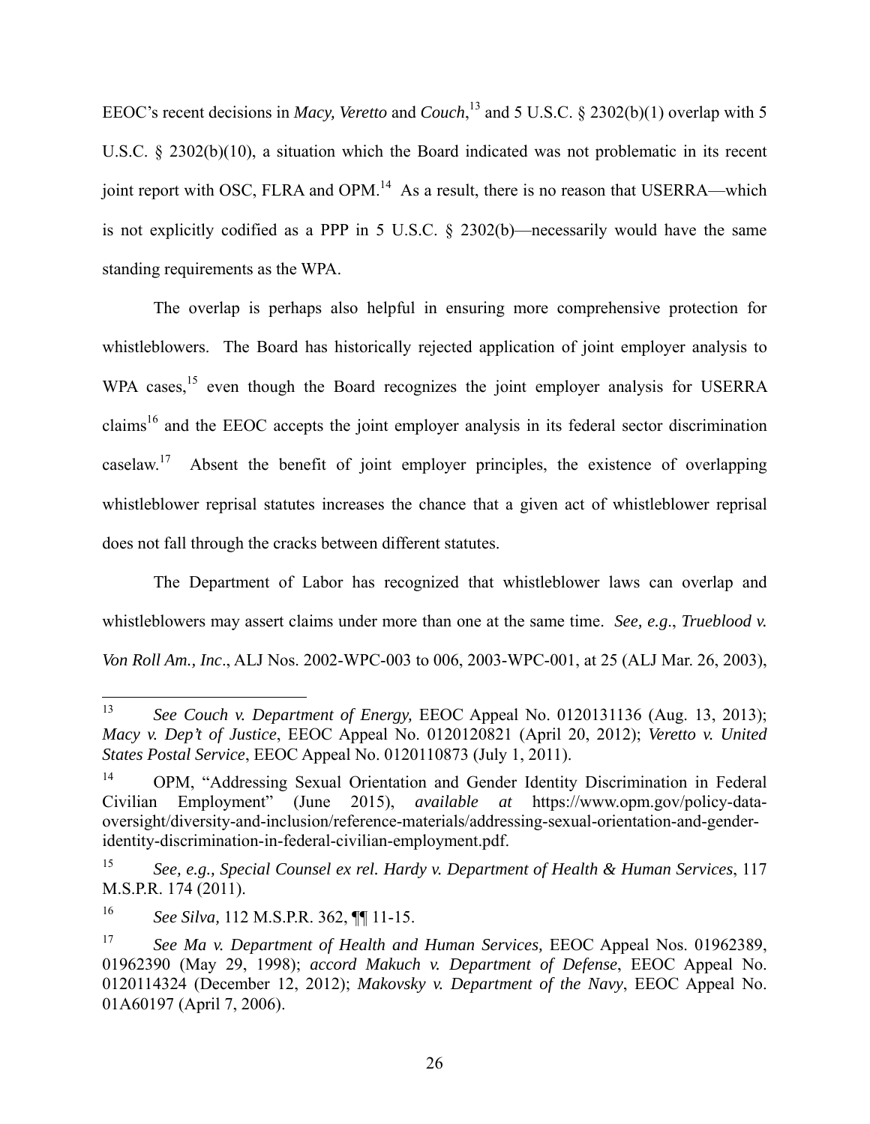EEOC's recent decisions in *Macy, Veretto* and *Couch*,<sup>13</sup> and 5 U.S.C. § 2302(b)(1) overlap with 5 U.S.C. § 2302(b)(10), a situation which the Board indicated was not problematic in its recent joint report with OSC, FLRA and OPM.<sup>14</sup> As a result, there is no reason that USERRA—which is not explicitly codified as a PPP in 5 U.S.C. § 2302(b)—necessarily would have the same standing requirements as the WPA.

The overlap is perhaps also helpful in ensuring more comprehensive protection for whistleblowers. The Board has historically rejected application of joint employer analysis to WPA cases,<sup>15</sup> even though the Board recognizes the joint employer analysis for USERRA claims16 and the EEOC accepts the joint employer analysis in its federal sector discrimination caselaw.<sup>17</sup> Absent the benefit of joint employer principles, the existence of overlapping whistleblower reprisal statutes increases the chance that a given act of whistleblower reprisal does not fall through the cracks between different statutes.

The Department of Labor has recognized that whistleblower laws can overlap and whistleblowers may assert claims under more than one at the same time. *See, e.g*., *Trueblood v. Von Roll Am., Inc*., ALJ Nos. 2002-WPC-003 to 006, 2003-WPC-001, at 25 (ALJ Mar. 26, 2003),

<sup>13</sup> 13 *See Couch v. Department of Energy,* EEOC Appeal No. 0120131136 (Aug. 13, 2013); *Macy v. Dep't of Justice*, EEOC Appeal No. 0120120821 (April 20, 2012); *Veretto v. United States Postal Service*, EEOC Appeal No. 0120110873 (July 1, 2011).

<sup>14</sup> OPM, "Addressing Sexual Orientation and Gender Identity Discrimination in Federal Civilian Employment" (June 2015), *available at* https://www.opm.gov/policy-dataoversight/diversity-and-inclusion/reference-materials/addressing-sexual-orientation-and-genderidentity-discrimination-in-federal-civilian-employment.pdf.

<sup>15</sup> *See, e.g., Special Counsel ex rel. Hardy v. Department of Health & Human Services*, 117 M.S.P.R. 174 (2011).

<sup>16</sup> *See Silva,* 112 M.S.P.R. 362, ¶¶ 11-15.

<sup>17</sup> *See Ma v. Department of Health and Human Services,* EEOC Appeal Nos. 01962389, 01962390 (May 29, 1998); *accord Makuch v. Department of Defense*, EEOC Appeal No. 0120114324 (December 12, 2012); *Makovsky v. Department of the Navy*, EEOC Appeal No. 01A60197 (April 7, 2006).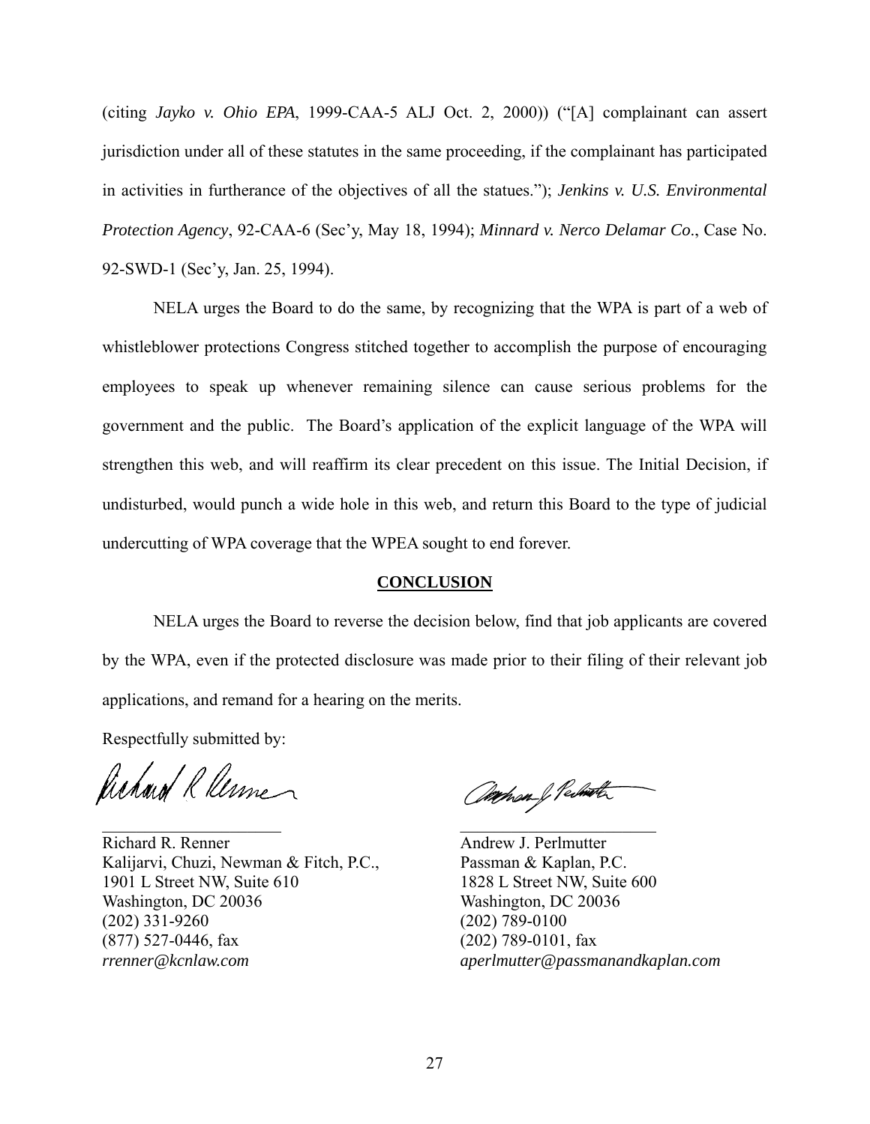(citing *Jayko v. Ohio EPA*, 1999-CAA-5 ALJ Oct. 2, 2000)) ("[A] complainant can assert jurisdiction under all of these statutes in the same proceeding, if the complainant has participated in activities in furtherance of the objectives of all the statues."); *Jenkins v. U.S. Environmental Protection Agency*, 92-CAA-6 (Sec'y, May 18, 1994); *Minnard v. Nerco Delamar Co*., Case No. 92-SWD-1 (Sec'y, Jan. 25, 1994).

NELA urges the Board to do the same, by recognizing that the WPA is part of a web of whistleblower protections Congress stitched together to accomplish the purpose of encouraging employees to speak up whenever remaining silence can cause serious problems for the government and the public. The Board's application of the explicit language of the WPA will strengthen this web, and will reaffirm its clear precedent on this issue. The Initial Decision, if undisturbed, would punch a wide hole in this web, and return this Board to the type of judicial undercutting of WPA coverage that the WPEA sought to end forever.

#### **CONCLUSION**

 NELA urges the Board to reverse the decision below, find that job applicants are covered by the WPA, even if the protected disclosure was made prior to their filing of their relevant job applications, and remand for a hearing on the merits.

Respectfully submitted by:

Richard R Renne

Richard R. Renner Andrew J. Perlmutter Kalijarvi, Chuzi, Newman & Fitch, P.C., Passman & Kaplan, P.C. 1901 L Street NW, Suite 610 1828 L Street NW, Suite 600 Washington, DC 20036 Washington, DC 20036 (202) 331-9260 (202) 789-0100 (877) 527-0446, fax (202) 789-0101, fax *rrenner@kcnlaw.com aperlmutter@passmanandkaplan.com*

 $\mathcal{L}_{\text{untrivial}}$